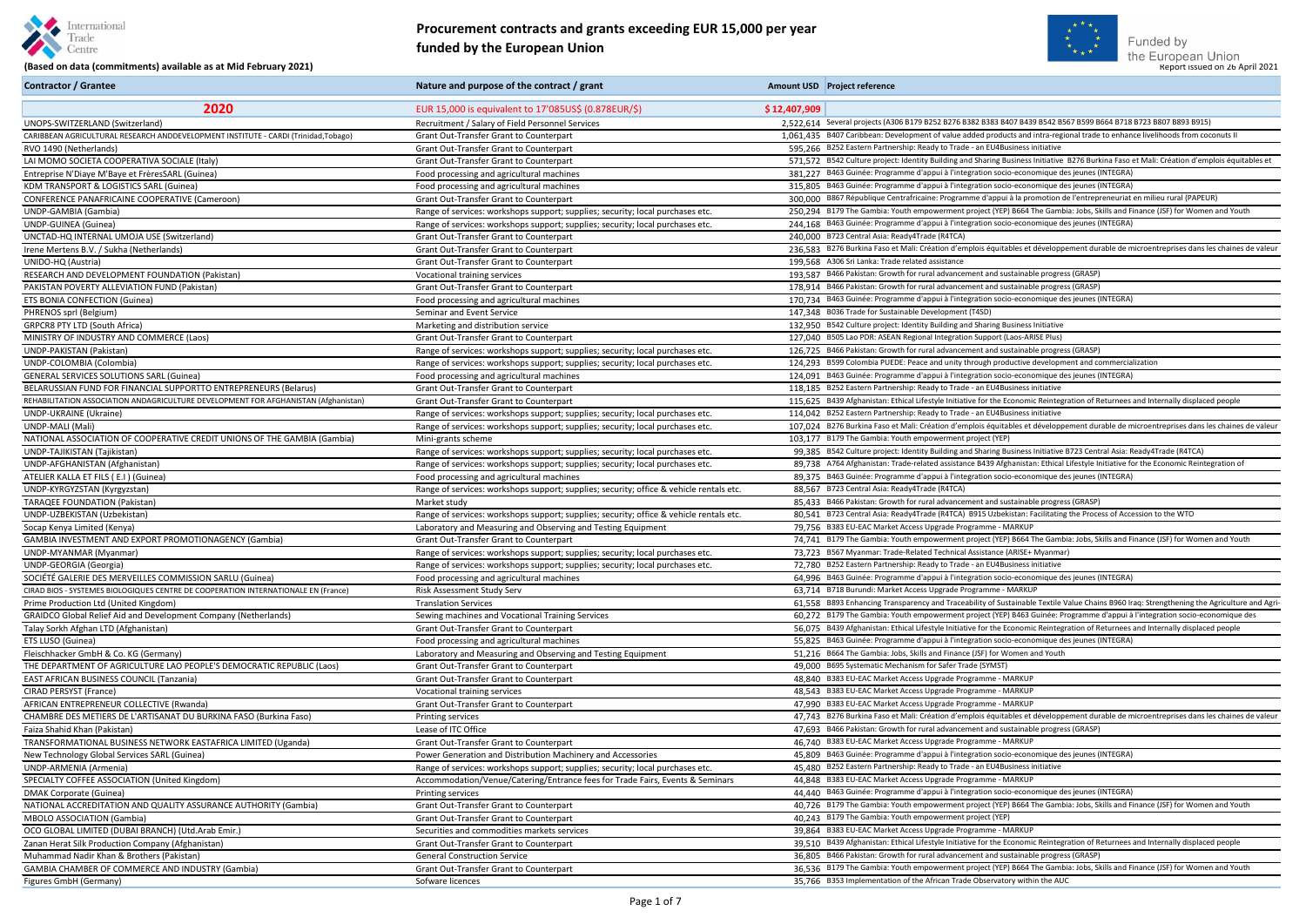



#### Gentre Centre **(Based on data (commitments) available as at Mid February 2021) Report 1998 Constant Commitments** available as at Mid February 2021) **Report issued on 2021** (Based on data (commitments) available as at Mid **Procurement contracts and grants exceeding EUR 15,000 per year funded by the European Union**

**Contractor / Grantee Nature and purpose of the contract / grant** Amount USD Project reference

| 2020                                                                                                         | EUR 15,000 is equivalent to 17'085US\$ (0.878EUR/\$)                                    | \$12,407,909                                                                                                                                                                                                                                        |
|--------------------------------------------------------------------------------------------------------------|-----------------------------------------------------------------------------------------|-----------------------------------------------------------------------------------------------------------------------------------------------------------------------------------------------------------------------------------------------------|
| UNOPS-SWITZERLAND (Switzerland)                                                                              | Recruitment / Salary of Field Personnel Services                                        | 2.522.614 Several projects (A306 B179 B252 B276 B382 B383 B407 B439 B542 B567 B599 B664 B718 B723 B807 B893 B915)<br>1.061.435 B407 Caribbean: Development of value added products and intra-regional trade to enhance livelihoods from coconuts II |
| CARIBBEAN AGRICULTURAL RESEARCH ANDDEVELOPMENT INSTITUTE - CARDI (Trinidad,Tobago)<br>RVO 1490 (Netherlands) | Grant Out-Transfer Grant to Counterpart<br>Grant Out-Transfer Grant to Counterpart      | 595.266 B252 Eastern Partnership: Ready to Trade - an EU4Business initiative                                                                                                                                                                        |
| LAI MOMO SOCIETA COOPERATIVA SOCIALE (Italy)                                                                 | Grant Out-Transfer Grant to Counterpart                                                 | 571.572 B542 Culture project: Identity Building and Sharing Business Initiative B276 Burkina Faso et Mali: Création d'emplois équitables et                                                                                                         |
| Entreprise N'Diaye M'Baye et FrèresSARL (Guinea)                                                             |                                                                                         | 381.227 B463 Guinée: Programme d'appui à l'integration socio-economique des jeunes (INTEGRA)                                                                                                                                                        |
| KDM TRANSPORT & LOGISTICS SARL (Guinea)                                                                      | Food processing and agricultural machines<br>Food processing and agricultural machines  | 315.805 B463 Guinée: Programme d'appui à l'integration socio-economique des jeunes (INTEGRA)                                                                                                                                                        |
| <b>CONFERENCE PANAFRICAINE COOPERATIVE (Cameroon)</b>                                                        | <b>Grant Out-Transfer Grant to Counterpart</b>                                          | 300.000 B867 République Centrafricaine: Programme d'appui à la promotion de l'entrepreneuriat en milieu rural (PAPEUR)                                                                                                                              |
| UNDP-GAMBIA (Gambia)                                                                                         | Range of services: workshops support; supplies; security; local purchases etc.          | 250,294 B179 The Gambia: Youth empowerment project (YEP) B664 The Gambia: Jobs, Skills and Finance (JSF) for Women and Youth                                                                                                                        |
| UNDP-GUINEA (Guinea)                                                                                         | Range of services: workshops support; supplies; security; local purchases etc.          | 244,168 B463 Guinée: Programme d'appui à l'integration socio-economique des jeunes (INTEGRA)                                                                                                                                                        |
| UNCTAD-HQ INTERNAL UMOJA USE (Switzerland)                                                                   | Grant Out-Transfer Grant to Counterpart                                                 | 240.000 B723 Central Asia: Ready4Trade (R4TCA)                                                                                                                                                                                                      |
| Irene Mertens B.V. / Sukha (Netherlands)                                                                     | Grant Out-Transfer Grant to Counterpart                                                 | 236.583 B276 Burkina Faso et Mali: Création d'emplois équitables et développement durable de microentreprises dans les chaines de valeur                                                                                                            |
| UNIDO-HQ (Austria)                                                                                           | Grant Out-Transfer Grant to Counterpart                                                 | 199.568 A306 Sri Lanka: Trade related assistance                                                                                                                                                                                                    |
| RESEARCH AND DEVELOPMENT FOUNDATION (Pakistan)                                                               | Vocational training services                                                            | 193.587 B466 Pakistan: Growth for rural advancement and sustainable progress (GRASP)                                                                                                                                                                |
| PAKISTAN POVERTY ALLEVIATION FUND (Pakistan)                                                                 | Grant Out-Transfer Grant to Counterpart                                                 | 178.914 B466 Pakistan: Growth for rural advancement and sustainable progress (GRASP)                                                                                                                                                                |
| ETS BONIA CONFECTION (Guinea)                                                                                | Food processing and agricultural machines                                               | 170,734 B463 Guinée: Programme d'appui à l'integration socio-economique des jeunes (INTEGRA)                                                                                                                                                        |
| PHRENOS sprl (Belgium)                                                                                       | Seminar and Event Service                                                               | 147.348 B036 Trade for Sustainable Development (T4SD)                                                                                                                                                                                               |
| <b>GRPCR8 PTY LTD (South Africa)</b>                                                                         | Marketing and distribution service                                                      | 132.950 B542 Culture project: Identity Building and Sharing Business Initiative                                                                                                                                                                     |
| MINISTRY OF INDUSTRY AND COMMERCE (Laos)                                                                     | <b>Grant Out-Transfer Grant to Counterpart</b>                                          | 127.040 B505 Lao PDR: ASEAN Regional Integration Support (Laos-ARISE Plus)                                                                                                                                                                          |
| UNDP-PAKISTAN (Pakistan)                                                                                     | Range of services: workshops support; supplies; security; local purchases etc.          | 126.725 B466 Pakistan: Growth for rural advancement and sustainable progress (GRASP)                                                                                                                                                                |
| UNDP-COLOMBIA (Colombia)                                                                                     | Range of services: workshops support; supplies; security; local purchases etc.          | 124.293 B599 Colombia PUEDE: Peace and unity through productive development and commercialization                                                                                                                                                   |
| <b>GENERAL SERVICES SOLUTIONS SARL (Guinea)</b>                                                              | Food processing and agricultural machines                                               | 124,091 B463 Guinée: Programme d'appui à l'integration socio-economique des jeunes (INTEGRA)                                                                                                                                                        |
| BELARUSSIAN FUND FOR FINANCIAL SUPPORTTO ENTREPRENEURS (Belarus)                                             | Grant Out-Transfer Grant to Counterpart                                                 | 118.185 B252 Eastern Partnership: Ready to Trade - an EU4Business initiative                                                                                                                                                                        |
| REHABILITATION ASSOCIATION ANDAGRICULTURE DEVELOPMENT FOR AFGHANISTAN (Afghanistan)                          | Grant Out-Transfer Grant to Counterpart                                                 | 115,625 B439 Afghanistan: Ethical Lifestyle Initiative for the Economic Reintegration of Returnees and Internally displaced people                                                                                                                  |
| <b>UNDP-UKRAINE (Ukraine)</b>                                                                                | Range of services: workshops support; supplies; security; local purchases etc.          | 114.042 B252 Eastern Partnership: Ready to Trade - an EU4Business initiative                                                                                                                                                                        |
| UNDP-MALI (Mali)                                                                                             | Range of services: workshops support; supplies; security; local purchases etc.          | 107,024 B276 Burkina Faso et Mali: Création d'emplois équitables et développement durable de microentreprises dans les chaines de valeur                                                                                                            |
| NATIONAL ASSOCIATION OF COOPERATIVE CREDIT UNIONS OF THE GAMBIA (Gambia)                                     | Mini-grants scheme                                                                      | 103.177 B179 The Gambia: Youth empowerment project (YEP)                                                                                                                                                                                            |
| UNDP-TAJIKISTAN (Tajikistan)                                                                                 | Range of services: workshops support; supplies; security; local purchases etc.          | 99,385 B542 Culture project: Identity Building and Sharing Business Initiative B723 Central Asia: Ready4Trade (R4TCA)                                                                                                                               |
| UNDP-AFGHANISTAN (Afghanistan)                                                                               | Range of services: workshops support; supplies; security; local purchases etc.          | 89.738 A764 Afghanistan: Trade-related assistance B439 Afghanistan: Ethical Lifestyle Initiative for the Economic Reintegration of                                                                                                                  |
| ATELIER KALLA ET FILS (E.I) (Guinea)                                                                         | Food processing and agricultural machines                                               | 89,375 B463 Guinée: Programme d'appui à l'integration socio-economique des jeunes (INTEGRA)                                                                                                                                                         |
| UNDP-KYRGYZSTAN (Kyrgyzstan)                                                                                 | Range of services: workshops support; supplies; security; office & vehicle rentals etc. | 88.567 B723 Central Asia: Ready4Trade (R4TCA)                                                                                                                                                                                                       |
| <b>TARAQEE FOUNDATION (Pakistan)</b>                                                                         | Market study                                                                            | 85.433 B466 Pakistan: Growth for rural advancement and sustainable progress (GRASP)                                                                                                                                                                 |
| UNDP-UZBEKISTAN (Uzbekistan)                                                                                 | Range of services: workshops support; supplies; security; office & vehicle rentals etc. | 80.541 B723 Central Asia: Ready4Trade (R4TCA) B915 Uzbekistan: Facilitating the Process of Accession to the WTO                                                                                                                                     |
| Socap Kenya Limited (Kenya)                                                                                  | Laboratory and Measuring and Observing and Testing Equipment                            | 79.756 B383 EU-EAC Market Access Upgrade Programme - MARKUP                                                                                                                                                                                         |
| <b>GAMBIA INVESTMENT AND EXPORT PROMOTIONAGENCY (Gambia)</b>                                                 | Grant Out-Transfer Grant to Counterpart                                                 | 74.741 B179 The Gambia: Youth empowerment project (YEP) B664 The Gambia: Jobs, Skills and Finance (JSF) for Women and Youth                                                                                                                         |
| UNDP-MYANMAR (Myanmar)                                                                                       | Range of services: workshops support; supplies; security; local purchases etc.          | 73,723 B567 Myanmar: Trade-Related Technical Assistance (ARISE+ Myanmar)                                                                                                                                                                            |
| UNDP-GEORGIA (Georgia)                                                                                       | Range of services: workshops support; supplies; security; local purchases etc.          | 72.780 B252 Eastern Partnership: Ready to Trade - an EU4Business initiative                                                                                                                                                                         |
| SOCIÉTÉ GALERIE DES MERVEILLES COMMISSION SARLU (Guinea)                                                     | Food processing and agricultural machines                                               | 64.996 B463 Guinée: Programme d'appui à l'integration socio-economique des jeunes (INTEGRA)                                                                                                                                                         |
| CIRAD BIOS - SYSTEMES BIOLOGIQUES CENTRE DE COOPERATION INTERNATIONALE EN (France)                           | Risk Assessment Study Serv                                                              | 63.714 B718 Burundi: Market Access Upgrade Programme - MARKUP                                                                                                                                                                                       |
| Prime Production Ltd (United Kingdom)                                                                        | <b>Translation Services</b>                                                             | 61.558 B893 Enhancing Transparency and Traceability of Sustainable Textile Value Chains B960 Iraq: Strengthening the Agriculture and Agri-                                                                                                          |
| <b>GRAIDCO Global Relief Aid and Development Company (Netherlands)</b>                                       | Sewing machines and Vocational Training Services                                        | 60.272 B179 The Gambia: Youth empowerment project (YEP) B463 Guinée: Programme d'appui à l'integration socio-economique des                                                                                                                         |
| Talay Sorkh Afghan LTD (Afghanistan)                                                                         | Grant Out-Transfer Grant to Counterpart                                                 | 56.075 B439 Afghanistan: Ethical Lifestyle Initiative for the Economic Reintegration of Returnees and Internally displaced people                                                                                                                   |
| ETS LUSO (Guinea)                                                                                            | Food processing and agricultural machines                                               | 55.825 B463 Guinée: Programme d'appui à l'integration socio-economique des jeunes (INTEGRA)                                                                                                                                                         |
| Fleischhacker GmbH & Co. KG (Germany)                                                                        | Laboratory and Measuring and Observing and Testing Equipment                            | 51.216 B664 The Gambia: Jobs, Skills and Finance (JSF) for Women and Youth                                                                                                                                                                          |
| THE DEPARTMENT OF AGRICULTURE LAO PEOPLE'S DEMOCRATIC REPUBLIC (Laos)                                        | Grant Out-Transfer Grant to Counterpart                                                 | 49.000 B695 Systematic Mechanism for Safer Trade (SYMST)                                                                                                                                                                                            |
| <b>EAST AFRICAN BUSINESS COUNCIL (Tanzania)</b>                                                              | Grant Out-Transfer Grant to Counterpart                                                 | 48.840 B383 EU-EAC Market Access Upgrade Programme - MARKUP                                                                                                                                                                                         |
| CIRAD PERSYST (France)                                                                                       | Vocational training services                                                            | 48.543 B383 EU-EAC Market Access Upgrade Programme - MARKUP                                                                                                                                                                                         |
| AFRICAN ENTREPRENEUR COLLECTIVE (Rwanda)                                                                     | Grant Out-Transfer Grant to Counterpart                                                 | 47.990 B383 EU-EAC Market Access Upgrade Programme - MARKUP                                                                                                                                                                                         |
| CHAMBRE DES METIERS DE L'ARTISANAT DU BURKINA FASO (Burkina Faso)                                            | <b>Printing services</b>                                                                | 47.743 B276 Burkina Faso et Mali: Création d'emplois équitables et développement durable de microentreprises dans les chaines de valeur                                                                                                             |
| Faiza Shahid Khan (Pakistan)                                                                                 | Lease of ITC Office                                                                     | 47,693 B466 Pakistan: Growth for rural advancement and sustainable progress (GRASP)                                                                                                                                                                 |
| TRANSFORMATIONAL BUSINESS NETWORK EASTAFRICA LIMITED (Uganda)                                                | Grant Out-Transfer Grant to Counterpart                                                 | 46.740 B383 EU-EAC Market Access Upgrade Programme - MARKUP                                                                                                                                                                                         |
| New Technology Global Services SARL (Guinea)                                                                 | Power Generation and Distribution Machinery and Accessories                             | 45.809 B463 Guinée: Programme d'appui à l'integration socio-economique des jeunes (INTEGRA)                                                                                                                                                         |
| UNDP-ARMENIA (Armenia)                                                                                       | Range of services: workshops support; supplies; security; local purchases etc.          | 45,480 B252 Eastern Partnership: Ready to Trade - an EU4Business initiative                                                                                                                                                                         |
| SPECIALTY COFFEE ASSOCIATION (United Kingdom)                                                                | Accommodation/Venue/Catering/Entrance fees for Trade Fairs, Events & Seminars           | 44.848 B383 EU-EAC Market Access Upgrade Programme - MARKUP                                                                                                                                                                                         |
| <b>DMAK Corporate (Guinea)</b>                                                                               | <b>Printing services</b>                                                                | 44.440 B463 Guinée: Programme d'appui à l'integration socio-economique des jeunes (INTEGRA)                                                                                                                                                         |
| NATIONAL ACCREDITATION AND QUALITY ASSURANCE AUTHORITY (Gambia)                                              | Grant Out-Transfer Grant to Counterpart                                                 | 40.726 B179 The Gambia: Youth empowerment project (YEP) B664 The Gambia: Jobs, Skills and Finance (JSF) for Women and Youth                                                                                                                         |
| <b>MBOLO ASSOCIATION (Gambia)</b>                                                                            | Grant Out-Transfer Grant to Counterpart                                                 | 40.243 B179 The Gambia: Youth empowerment project (YEP)                                                                                                                                                                                             |
| OCO GLOBAL LIMITED (DUBAI BRANCH) (Utd.Arab Emir.)                                                           | Securities and commodities markets services                                             | 39.864 B383 EU-EAC Market Access Upgrade Programme - MARKUP                                                                                                                                                                                         |
| Zanan Herat Silk Production Company (Afghanistan)                                                            | Grant Out-Transfer Grant to Counterpart                                                 | 39.510 B439 Afghanistan: Ethical Lifestyle Initiative for the Economic Reintegration of Returnees and Internally displaced people                                                                                                                   |
| Muhammad Nadir Khan & Brothers (Pakistan)                                                                    | <b>General Construction Service</b>                                                     | 36.805 B466 Pakistan: Growth for rural advancement and sustainable progress (GRASP)                                                                                                                                                                 |
| <b>GAMBIA CHAMBER OF COMMERCE AND INDUSTRY (Gambia)</b>                                                      | Grant Out-Transfer Grant to Counterpart                                                 | 36.536 B179 The Gambia: Youth empowerment project (YEP) B664 The Gambia: Jobs, Skills and Finance (JSF) for Women and Youth                                                                                                                         |
| Figures GmbH (Germany)                                                                                       | Sofware licences                                                                        | 35.766 B353 Implementation of the African Trade Observatory within the AUC                                                                                                                                                                          |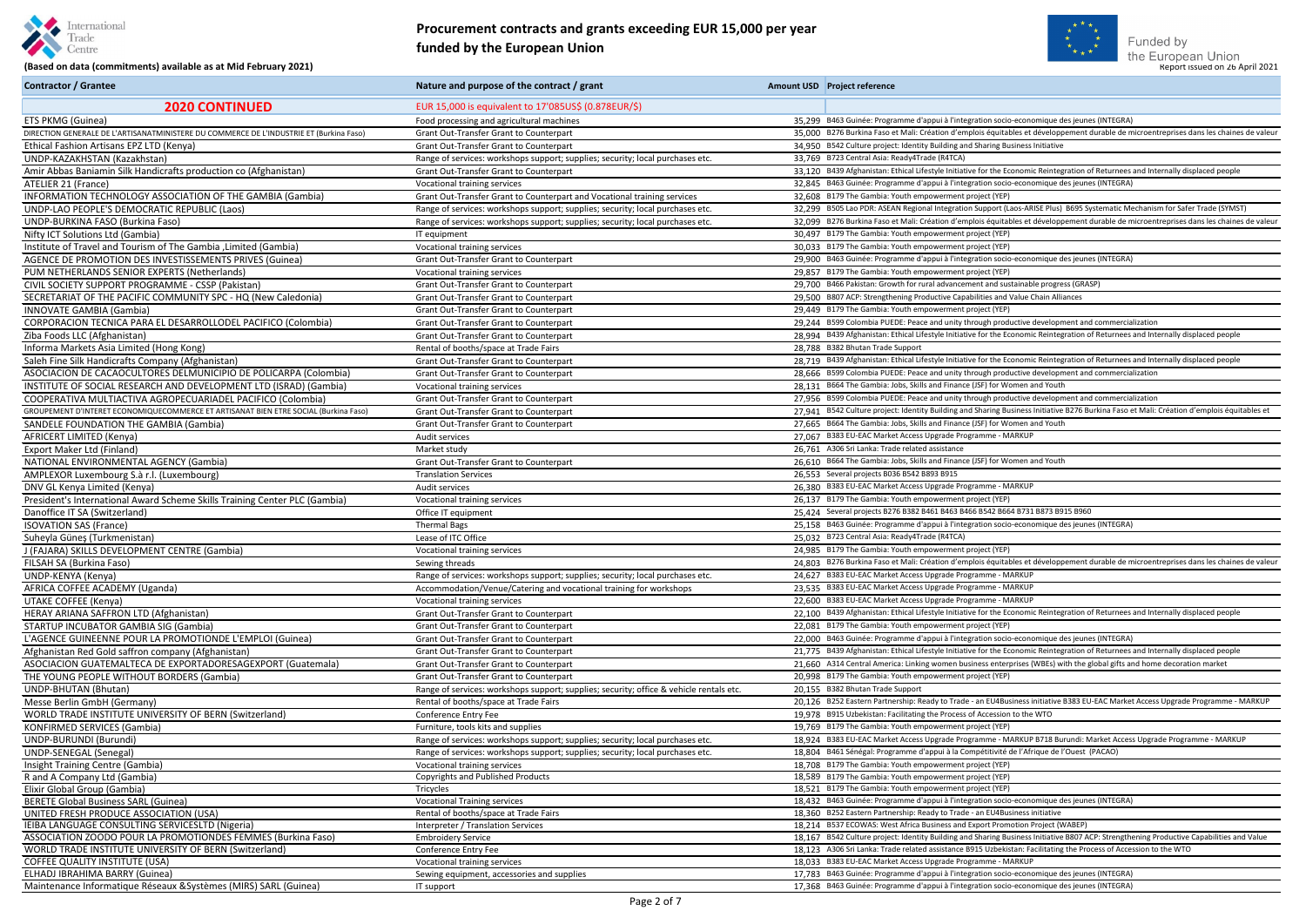



#### **Procurement contracts and grants exceeding EUR 15,000 per year funded by the European Union**

| <b>Contractor / Grantee</b>                                                             | Nature and purpose of the contract / grant                                              | Amount USD Project reference                                                                                                               |
|-----------------------------------------------------------------------------------------|-----------------------------------------------------------------------------------------|--------------------------------------------------------------------------------------------------------------------------------------------|
| <b>2020 CONTINUED</b>                                                                   | EUR 15,000 is equivalent to 17'085US\$ (0.878EUR/\$)                                    |                                                                                                                                            |
| ETS PKMG (Guinea)                                                                       | Food processing and agricultural machines                                               | 35,299 B463 Guinée: Programme d'appui à l'integration socio-economique des jeunes (INTEGRA)                                                |
| DIRECTION GENERALE DE L'ARTISANATMINISTERE DU COMMERCE DE L'INDUSTRIE ET (Burkina Faso) | Grant Out-Transfer Grant to Counterpart                                                 | 35,000 B276 Burkina Faso et Mali: Création d'emplois équitables et développement durable de microentreprises dans les chaines de valeu     |
| Ethical Fashion Artisans EPZ LTD (Kenya)                                                | Grant Out-Transfer Grant to Counterpart                                                 | 34,950 B542 Culture project: Identity Building and Sharing Business Initiative                                                             |
| UNDP-KAZAKHSTAN (Kazakhstan)                                                            | Range of services: workshops support; supplies; security; local purchases etc.          | 33,769 B723 Central Asia: Ready4Trade (R4TCA)                                                                                              |
| Amir Abbas Baniamin Silk Handicrafts production co (Afghanistan)                        | Grant Out-Transfer Grant to Counterpart                                                 | 33,120 B439 Afghanistan: Ethical Lifestyle Initiative for the Economic Reintegration of Returnees and Internally displaced people          |
| ATELIER 21 (France)                                                                     | Vocational training services                                                            | 32.845 B463 Guinée: Programme d'appui à l'integration socio-economique des jeunes (INTEGRA)                                                |
| INFORMATION TECHNOLOGY ASSOCIATION OF THE GAMBIA (Gambia)                               | Grant Out-Transfer Grant to Counterpart and Vocational training services                | 32.608 B179 The Gambia: Youth empowerment project (YEP)                                                                                    |
| UNDP-LAO PEOPLE'S DEMOCRATIC REPUBLIC (Laos)                                            | Range of services: workshops support; supplies; security; local purchases etc.          | 32,299 B505 Lao PDR: ASEAN Regional Integration Support (Laos-ARISE Plus) B695 Systematic Mechanism for Safer Trade (SYMST)                |
| UNDP-BURKINA FASO (Burkina Faso)                                                        | Range of services: workshops support; supplies; security; local purchases etc.          | 32,099 B276 Burkina Faso et Mali: Création d'emplois équitables et développement durable de microentreprises dans les chaines de valeu     |
| Nifty ICT Solutions Ltd (Gambia)                                                        | IT equipment                                                                            | 30,497 B179 The Gambia: Youth empowerment project (YEP)                                                                                    |
| Institute of Travel and Tourism of The Gambia , Limited (Gambia)                        | Vocational training services                                                            | 30,033 B179 The Gambia: Youth empowerment project (YEP)                                                                                    |
| AGENCE DE PROMOTION DES INVESTISSEMENTS PRIVES (Guinea)                                 | Grant Out-Transfer Grant to Counterpart                                                 | 29,900 B463 Guinée: Programme d'appui à l'integration socio-economique des jeunes (INTEGRA)                                                |
| PUM NETHERLANDS SENIOR EXPERTS (Netherlands)                                            | Vocational training services                                                            | 29,857 B179 The Gambia: Youth empowerment project (YEP)                                                                                    |
| CIVIL SOCIETY SUPPORT PROGRAMME - CSSP (Pakistan)                                       | Grant Out-Transfer Grant to Counterpart                                                 | 29,700 B466 Pakistan: Growth for rural advancement and sustainable progress (GRASP)                                                        |
| SECRETARIAT OF THE PACIFIC COMMUNITY SPC - HQ (New Caledonia)                           | Grant Out-Transfer Grant to Counterpart                                                 | 29.500 B807 ACP: Strengthening Productive Capabilities and Value Chain Alliances                                                           |
| <b>INNOVATE GAMBIA (Gambia)</b>                                                         | Grant Out-Transfer Grant to Counterpart                                                 | 29,449 B179 The Gambia: Youth empowerment project (YEP)                                                                                    |
| CORPORACION TECNICA PARA EL DESARROLLODEL PACIFICO (Colombia)                           | Grant Out-Transfer Grant to Counterpart                                                 | 29,244 B599 Colombia PUEDE: Peace and unity through productive development and commercialization                                           |
| Ziba Foods LLC (Afghanistan)                                                            | Grant Out-Transfer Grant to Counterpart                                                 | 28,994 B439 Afghanistan: Ethical Lifestyle Initiative for the Economic Reintegration of Returnees and Internally displaced people          |
| Informa Markets Asia Limited (Hong Kong)                                                | Rental of booths/space at Trade Fairs                                                   | 28.788 B382 Bhutan Trade Support                                                                                                           |
| Saleh Fine Silk Handicrafts Company (Afghanistan)                                       | Grant Out-Transfer Grant to Counterpart                                                 | 28,719 B439 Afghanistan: Ethical Lifestyle Initiative for the Economic Reintegration of Returnees and Internally displaced people          |
| ASOCIACION DE CACAOCULTORES DELMUNICIPIO DE POLICARPA (Colombia)                        |                                                                                         | 28,666 B599 Colombia PUEDE: Peace and unity through productive development and commercialization                                           |
| INSTITUTE OF SOCIAL RESEARCH AND DEVELOPMENT LTD (ISRAD) (Gambia)                       | Grant Out-Transfer Grant to Counterpart                                                 | 28,131 B664 The Gambia: Jobs, Skills and Finance (JSF) for Women and Youth                                                                 |
|                                                                                         | Vocational training services                                                            | 27,956 B599 Colombia PUEDE: Peace and unity through productive development and commercialization                                           |
| COOPERATIVA MULTIACTIVA AGROPECUARIADEL PACIFICO (Colombia)                             | Grant Out-Transfer Grant to Counterpart                                                 |                                                                                                                                            |
| GROUPEMENT D'INTERET ECONOMIQUECOMMERCE ET ARTISANAT BIEN ETRE SOCIAL (Burkina Faso)    | Grant Out-Transfer Grant to Counterpart                                                 | 27,941 B542 Culture project: Identity Building and Sharing Business Initiative B276 Burkina Faso et Mali: Création d'emplois équitables et |
| SANDELE FOUNDATION THE GAMBIA (Gambia)                                                  | Grant Out-Transfer Grant to Counterpart                                                 | 27,665 B664 The Gambia: Jobs, Skills and Finance (JSF) for Women and Youth                                                                 |
| AFRICERT LIMITED (Kenya)                                                                | Audit services                                                                          | 27,067 B383 EU-EAC Market Access Upgrade Programme - MARKUP                                                                                |
| Export Maker Ltd (Finland)                                                              | Market study                                                                            | 26,761 A306 Sri Lanka: Trade related assistance                                                                                            |
| NATIONAL ENVIRONMENTAL AGENCY (Gambia)                                                  | Grant Out-Transfer Grant to Counterpart                                                 | 26,610 B664 The Gambia: Jobs, Skills and Finance (JSF) for Women and Youth                                                                 |
| AMPLEXOR Luxembourg S.à r.l. (Luxembourg)                                               | <b>Translation Services</b>                                                             | 26,553 Several projects B036 B542 B893 B915                                                                                                |
| DNV GL Kenya Limited (Kenya)                                                            | Audit services                                                                          | 26.380 B383 EU-EAC Market Access Upgrade Programme - MARKUP                                                                                |
| President's International Award Scheme Skills Training Center PLC (Gambia)              | Vocational training services                                                            | 26,137 B179 The Gambia: Youth empowerment project (YEP)                                                                                    |
| Danoffice IT SA (Switzerland)                                                           | Office IT equipment                                                                     | 25,424 Several projects B276 B382 B461 B463 B466 B542 B664 B731 B873 B915 B960                                                             |
| <b>ISOVATION SAS (France)</b>                                                           | <b>Thermal Bags</b>                                                                     | 25,158 B463 Guinée: Programme d'appui à l'integration socio-economique des jeunes (INTEGRA)                                                |
| Suheyla Güneş (Turkmenistan)                                                            | Lease of ITC Office                                                                     | 25,032 B723 Central Asia: Ready4Trade (R4TCA)                                                                                              |
| J (FAJARA) SKILLS DEVELOPMENT CENTRE (Gambia)                                           | Vocational training services                                                            | 24.985 B179 The Gambia: Youth empowerment project (YEP)                                                                                    |
| FILSAH SA (Burkina Faso)                                                                | Sewing threads                                                                          | 24.803 B276 Burkina Faso et Mali: Création d'emplois équitables et développement durable de microentreprises dans les chaines de valeur    |
| UNDP-KENYA (Kenya)                                                                      | Range of services: workshops support; supplies; security; local purchases etc.          | 24.627 B383 EU-EAC Market Access Upgrade Programme - MARKUP                                                                                |
| AFRICA COFFEE ACADEMY (Uganda)                                                          | Accommodation/Venue/Catering and vocational training for workshops                      | 23.535 B383 EU-EAC Market Access Upgrade Programme - MARKUP                                                                                |
| UTAKE COFFEE (Kenya)                                                                    | Vocational training services                                                            | 22.600 B383 EU-EAC Market Access Upgrade Programme - MARKUP                                                                                |
| HERAY ARIANA SAFFRON LTD (Afghanistan)                                                  | Grant Out-Transfer Grant to Counterpart                                                 | 22.100 B439 Afghanistan: Ethical Lifestyle Initiative for the Economic Reintegration of Returnees and Internally displaced people          |
| STARTUP INCUBATOR GAMBIA SIG (Gambia)                                                   | Grant Out-Transfer Grant to Counterpart                                                 | 22.081 B179 The Gambia: Youth empowerment project (YEP)                                                                                    |
| L'AGENCE GUINEENNE POUR LA PROMOTIONDE L'EMPLOI (Guinea)                                | Grant Out-Transfer Grant to Counterpart                                                 | 22.000 B463 Guinée: Programme d'appui à l'integration socio-economique des jeunes (INTEGRA)                                                |
| Afghanistan Red Gold saffron company (Afghanistan)                                      | Grant Out-Transfer Grant to Counterpart                                                 | 21,775 B439 Afghanistan: Ethical Lifestyle Initiative for the Economic Reintegration of Returnees and Internally displaced people          |
| ASOCIACION GUATEMALTECA DE EXPORTADORESAGEXPORT (Guatemala)                             | Grant Out-Transfer Grant to Counterpart                                                 | 21,660 A314 Central America: Linking women business enterprises (WBEs) with the global gifts and home decoration market                    |
| THE YOUNG PEOPLE WITHOUT BORDERS (Gambia)                                               | <b>Grant Out-Transfer Grant to Counterpart</b>                                          | 20.998 B179 The Gambia: Youth empowerment project (YEP)                                                                                    |
| UNDP-BHUTAN (Bhutan)                                                                    | Range of services: workshops support; supplies; security; office & vehicle rentals etc. | 20.155 B382 Bhutan Trade Support                                                                                                           |
| Messe Berlin GmbH (Germany)                                                             | Rental of booths/space at Trade Fairs                                                   | 20.126 B252 Eastern Partnership: Ready to Trade - an EU4Business initiative B383 EU-EAC Market Access Upgrade Programme - MARKUP           |
| WORLD TRADE INSTITUTE UNIVERSITY OF BERN (Switzerland)                                  | Conference Entry Fee                                                                    | 19.978 B915 Uzbekistan: Facilitating the Process of Accession to the WTO                                                                   |
| KONFIRMED SERVICES (Gambia)                                                             | Furniture, tools kits and supplies                                                      | 19.769 B179 The Gambia: Youth empowerment project (YEP)                                                                                    |
| UNDP-BURUNDI (Burundi)                                                                  | Range of services: workshops support; supplies; security; local purchases etc.          | 18,924 B383 EU-EAC Market Access Upgrade Programme - MARKUP B718 Burundi: Market Access Upgrade Programme - MARKUP                         |
| UNDP-SENEGAL (Senegal)                                                                  | Range of services: workshops support; supplies; security; local purchases etc.          | 18.804 B461 Sénégal: Programme d'appui à la Compétitivité de l'Afrique de l'Ouest (PACAO)                                                  |
| Insight Training Centre (Gambia)                                                        | Vocational training services                                                            | 18,708 B179 The Gambia: Youth empowerment project (YEP)                                                                                    |
| R and A Company Ltd (Gambia)                                                            | <b>Copyrights and Published Products</b>                                                | 18,589 B179 The Gambia: Youth empowerment project (YEP)                                                                                    |
| Elixir Global Group (Gambia)                                                            | Tricycles                                                                               | 18,521 B179 The Gambia: Youth empowerment project (YEP)                                                                                    |
| BERETE Global Business SARL (Guinea)                                                    | <b>Vocational Training services</b>                                                     | 18,432 B463 Guinée: Programme d'appui à l'integration socio-economique des jeunes (INTEGRA)                                                |
| UNITED FRESH PRODUCE ASSOCIATION (USA)                                                  | Rental of booths/space at Trade Fairs                                                   | 18,360 B252 Eastern Partnership: Ready to Trade - an EU4Business initiative                                                                |
| IEIBA LANGUAGE CONSULTING SERVICESLTD (Nigeria)                                         | Interpreter / Translation Services                                                      | 18.214 B537 ECOWAS: West Africa Business and Export Promotion Project (WABEP)                                                              |
| ASSOCIATION ZOODO POUR LA PROMOTIONDES FEMMES (Burkina Faso)                            | <b>Embroidery Service</b>                                                               | 18,167 B542 Culture project: Identity Building and Sharing Business Initiative B807 ACP: Strengthening Productive Capabilities and Value   |
| WORLD TRADE INSTITUTE UNIVERSITY OF BERN (Switzerland)                                  | Conference Entry Fee                                                                    | 18,123 A306 Sri Lanka: Trade related assistance B915 Uzbekistan: Facilitating the Process of Accession to the WTO                          |
| <b>COFFEE QUALITY INSTITUTE (USA)</b>                                                   | Vocational training services                                                            | 18.033 B383 EU-EAC Market Access Upgrade Programme - MARKUP                                                                                |
| ELHADJ IBRAHIMA BARRY (Guinea)                                                          | Sewing equipment, accessories and supplies                                              | 17,783 B463 Guinée: Programme d'appui à l'integration socio-economique des jeunes (INTEGRA)                                                |
| Maintenance Informatique Réseaux & Systèmes (MIRS) SARL (Guinea)                        | IT support                                                                              | 17,368 B463 Guinée: Programme d'appui à l'integration socio-economique des jeunes (INTEGRA)                                                |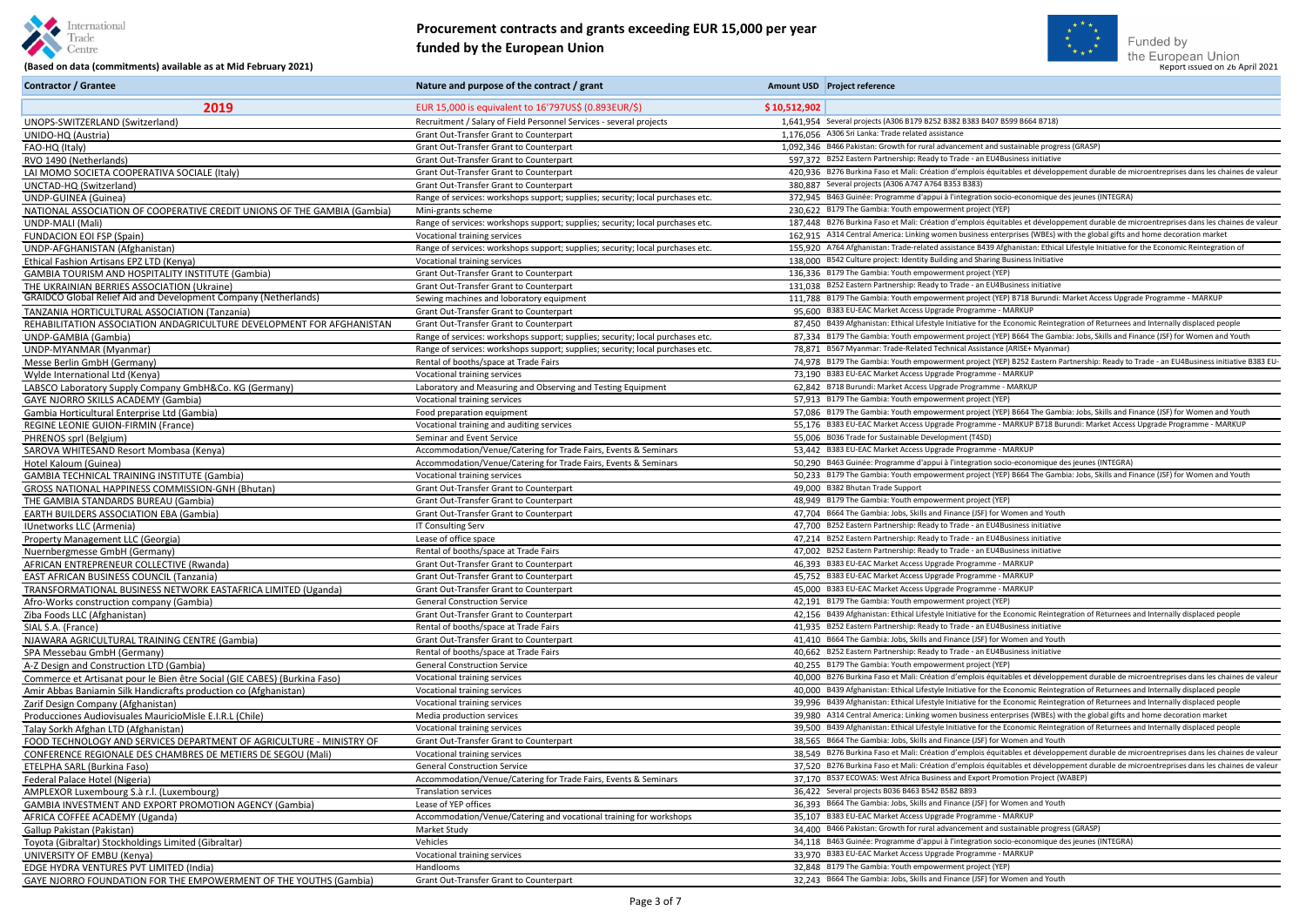

vancement and sustainable progress (GRASP)<br>o Trade - an EU4Business initiative h d'emplois équitables et développement durable de microentreprises dans les chaines de valeu<mark>i</mark><br>3353 B383) a l'integration socio-economique des jeunes (INTEGRA)<br>ment project (YEP) d'emplois équitables et développement durable de microentreprises dans les chaines de valeur en business enterprises (WBEs) with the global gifts and home decoration market sistance B439 Afghanistan: Ethical Lifestyle Initiative for the Economic Reintegration of<br>ing and Sharing Business Initiative ment project (YEP) B718 Burundi: Market Access Upgrade Programme - MARKUP nitiative for the Economic Reintegration of Returnees and Internally displaced people ment project (YEP) B664 The Gambia: Jobs, Skills and Finance (JSF) for Women and Youth<br>nnical Assistance (ARISE+ Myanmar) ment project (YEP) B252 Eastern Partnership: Ready to Trade - an EU4Business initiative B383 EU-<br>de Programme - MARKUP ment project (YEP) B664 The Gambia: Jobs, Skills and Finance (JSF) for Women and Youth de Programme - MARKUP B718 Burundi: Market Access Upgrade Programme - MARKUP<br>iment (T4SD) Hintegration socio-economique des jeunes (INTEGRA) ment project (YEP) B664 The Gambia: Jobs, Skills and Finance (JSF) for Women and Youth Initiative for the Economic Reintegration of Returnees and Internally displaced people<br>Trade - an EU4Business initiative d'emplois équitables et développement durable de microentreprises dans les chaines de valeur nitiative for the Economic Reintegration of Returnees and Internally displaced people nitiative for the Economic Reintegration of Returnees and Internally displaced people en business enterprises (WBEs) with the global gifts and home decoration market nitiative for the Economic Reintegration of Returnees and Internally displaced people<br>inance (JSF) for Women and Youth d'emplois équitables et développement durable de microentreprises dans les chaines de valeur n d'emplois équitables et développement durable de microentreprises dans les chaines de valeur<br>ss and Export Promotion Project (WABEP) I'integration socio-economique des jeunes (INTEGRA)<br>de Programme - MARKUP



#### **Procurement contracts and grants exceeding EUR 15,000 per year funded by the European Union**

# (Based on data (commitments) available as at Mid February 2021) **Report issued by the European University of Luiseau Sy the European University of the European Union<br>(Based on data (commitments) available as at Mid Februar**

| <b>Contractor / Grantee</b>                                               | Nature and purpose of the contract / grant                                     |              | Amount USD Project reference                                                              |
|---------------------------------------------------------------------------|--------------------------------------------------------------------------------|--------------|-------------------------------------------------------------------------------------------|
| 2019                                                                      | EUR 15,000 is equivalent to 16'797US\$ (0.893EUR/\$)                           | \$10,512,902 |                                                                                           |
| UNOPS-SWITZERLAND (Switzerland)                                           | Recruitment / Salary of Field Personnel Services - several projects            |              | 1.641.954 Several projects (A306 B179 B252 B382 B383 B407 B599 B664 B718)                 |
| UNIDO-HQ (Austria)                                                        | <b>Grant Out-Transfer Grant to Counterpart</b>                                 |              | 1,176,056 A306 Sri Lanka: Trade related assistance                                        |
| FAO-HQ (Italy)                                                            | Grant Out-Transfer Grant to Counterpart                                        |              | 1,092,346 B466 Pakistan: Growth for rural advancement and sustainable progress (GRASP)    |
| RVO 1490 (Netherlands)                                                    | Grant Out-Transfer Grant to Counterpart                                        |              | 597.372 B252 Eastern Partnership: Ready to Trade - an EU4Business initiative              |
| LAI MOMO SOCIETA COOPERATIVA SOCIALE (Italy)                              | Grant Out-Transfer Grant to Counterpart                                        |              | 420.936 B276 Burkina Faso et Mali: Création d'emplois équitables et développement du      |
| UNCTAD-HQ (Switzerland)                                                   | Grant Out-Transfer Grant to Counterpart                                        |              | 380,887 Several projects (A306 A747 A764 B353 B383)                                       |
| UNDP-GUINEA (Guinea)                                                      | Range of services: workshops support; supplies; security; local purchases etc. |              | 372.945 B463 Guinée: Programme d'appui à l'integration socio-economique des jeunes (      |
| NATIONAL ASSOCIATION OF COOPERATIVE CREDIT UNIONS OF THE GAMBIA (Gambia)  | Mini-grants scheme                                                             |              | 230,622 B179 The Gambia: Youth empowerment project (YEP)                                  |
| UNDP-MALI (Mali)                                                          | Range of services: workshops support; supplies; security; local purchases etc. |              | 187,448 B276 Burkina Faso et Mali: Création d'emplois équitables et développement du      |
| <b>FUNDACION EOI FSP (Spain)</b>                                          | Vocational training services                                                   |              | 162,915 A314 Central America: Linking women business enterprises (WBEs) with the glo      |
| UNDP-AFGHANISTAN (Afghanistan)                                            | Range of services: workshops support; supplies; security; local purchases etc. |              | 155.920 A764 Afghanistan: Trade-related assistance B439 Afghanistan: Ethical Lifestyle I  |
| Ethical Fashion Artisans EPZ LTD (Kenya)                                  | Vocational training services                                                   |              | 138,000 B542 Culture project: Identity Building and Sharing Business Initiative           |
| <b>GAMBIA TOURISM AND HOSPITALITY INSTITUTE (Gambia)</b>                  | Grant Out-Transfer Grant to Counterpart                                        |              | 136,336 B179 The Gambia: Youth empowerment project (YEP)                                  |
| THE UKRAINIAN BERRIES ASSOCIATION (Ukraine)                               | Grant Out-Transfer Grant to Counterpart                                        |              | 131,038 B252 Eastern Partnership: Ready to Trade - an EU4Business initiative              |
| <b>GRAIDCO Global Relief Aid and Development Company (Netherlands)</b>    | Sewing machines and loboratory equipment                                       |              | 111,788 B179 The Gambia: Youth empowerment project (YEP) B718 Burundi: Market Ac          |
| TANZANIA HORTICULTURAL ASSOCIATION (Tanzania)                             | Grant Out-Transfer Grant to Counterpart                                        |              | 95,600 B383 EU-EAC Market Access Upgrade Programme - MARKUP                               |
| REHABILITATION ASSOCIATION ANDAGRICULTURE DEVELOPMENT FOR AFGHANISTAN     | Grant Out-Transfer Grant to Counterpart                                        |              | 87,450 B439 Afghanistan: Ethical Lifestyle Initiative for the Economic Reintegration of F |
| UNDP-GAMBIA (Gambia)                                                      | Range of services: workshops support; supplies; security; local purchases etc. |              | 87,334 B179 The Gambia: Youth empowerment project (YEP) B664 The Gambia: Jobs, S          |
| UNDP-MYANMAR (Myanmar)                                                    | Range of services: workshops support; supplies; security; local purchases etc. |              | 78,871 B567 Myanmar: Trade-Related Technical Assistance (ARISE+ Myanmar)                  |
| Messe Berlin GmbH (Germany)                                               | Rental of booths/space at Trade Fairs                                          |              | 74,978 B179 The Gambia: Youth empowerment project (YEP) B252 Eastern Partnership          |
| Wylde International Ltd (Kenya)                                           | Vocational training services                                                   |              | 73,190 B383 EU-EAC Market Access Upgrade Programme - MARKUP                               |
| LABSCO Laboratory Supply Company GmbH&Co. KG (Germany)                    | Laboratory and Measuring and Observing and Testing Equipment                   |              | 62,842 B718 Burundi: Market Access Upgrade Programme - MARKUP                             |
| <b>GAYE NJORRO SKILLS ACADEMY (Gambia)</b>                                | Vocational training services                                                   |              | 57,913 B179 The Gambia: Youth empowerment project (YEP)                                   |
| Gambia Horticultural Enterprise Ltd (Gambia)                              | Food preparation equipment                                                     |              | 57,086 B179 The Gambia: Youth empowerment project (YEP) B664 The Gambia: Jobs, S          |
| <b>REGINE LEONIE GUION-FIRMIN (France)</b>                                | Vocational training and auditing services                                      |              | 55,176 B383 EU-EAC Market Access Upgrade Programme - MARKUP B718 Burundi: Mar             |
| PHRENOS sprl (Belgium)                                                    | Seminar and Event Service                                                      |              | 55,006 B036 Trade for Sustainable Development (T4SD)                                      |
| SAROVA WHITESAND Resort Mombasa (Kenya)                                   | Accommodation/Venue/Catering for Trade Fairs, Events & Seminars                |              | 53,442 B383 EU-EAC Market Access Upgrade Programme - MARKUP                               |
| Hotel Kaloum (Guinea)                                                     | Accommodation/Venue/Catering for Trade Fairs, Events & Seminars                |              | 50,290 B463 Guinée: Programme d'appui à l'integration socio-economique des jeunes (       |
| <b>GAMBIA TECHNICAL TRAINING INSTITUTE (Gambia)</b>                       | Vocational training services                                                   |              | 50,233 B179 The Gambia: Youth empowerment project (YEP) B664 The Gambia: Jobs, S          |
| GROSS NATIONAL HAPPINESS COMMISSION-GNH (Bhutan)                          | Grant Out-Transfer Grant to Counterpart                                        |              | 49,000 B382 Bhutan Trade Support                                                          |
| THE GAMBIA STANDARDS BUREAU (Gambia)                                      | <b>Grant Out-Transfer Grant to Counterpart</b>                                 |              | 48.949 B179 The Gambia: Youth empowerment project (YEP)                                   |
| <b>EARTH BUILDERS ASSOCIATION EBA (Gambia)</b>                            | <b>Grant Out-Transfer Grant to Counterpart</b>                                 |              | 47,704 B664 The Gambia: Jobs, Skills and Finance (JSF) for Women and Youth                |
| IUnetworks LLC (Armenia)                                                  | IT Consulting Serv                                                             |              | 47,700 B252 Eastern Partnership: Ready to Trade - an EU4Business initiative               |
| Property Management LLC (Georgia)                                         | Lease of office space                                                          |              | 47,214 B252 Eastern Partnership: Ready to Trade - an EU4Business initiative               |
| Nuernbergmesse GmbH (Germany)                                             | Rental of booths/space at Trade Fairs                                          |              | 47,002 B252 Eastern Partnership: Ready to Trade - an EU4Business initiative               |
| AFRICAN ENTREPRENEUR COLLECTIVE (Rwanda)                                  | Grant Out-Transfer Grant to Counterpart                                        |              | 46.393 B383 EU-EAC Market Access Upgrade Programme - MARKUP                               |
| <b>EAST AFRICAN BUSINESS COUNCIL (Tanzania)</b>                           | Grant Out-Transfer Grant to Counterpart                                        |              | 45,752 B383 EU-EAC Market Access Upgrade Programme - MARKUP                               |
| TRANSFORMATIONAL BUSINESS NETWORK EASTAFRICA LIMITED (Uganda)             | Grant Out-Transfer Grant to Counterpart                                        |              | 45,000 B383 EU-EAC Market Access Upgrade Programme - MARKUP                               |
| Afro-Works construction company (Gambia)                                  | <b>General Construction Service</b>                                            |              | 42.191 B179 The Gambia: Youth empowerment project (YEP)                                   |
| Ziba Foods LLC (Afghanistan)                                              | Grant Out-Transfer Grant to Counterpart                                        |              | 42,156 B439 Afghanistan: Ethical Lifestyle Initiative for the Economic Reintegration of F |
| SIAL S.A. (France)                                                        | Rental of booths/space at Trade Fairs                                          |              | 41,935 B252 Eastern Partnership: Ready to Trade - an EU4Business initiative               |
| NJAWARA AGRICULTURAL TRAINING CENTRE (Gambia)                             | Grant Out-Transfer Grant to Counterpart                                        |              | 41,410 B664 The Gambia: Jobs, Skills and Finance (JSF) for Women and Youth                |
| SPA Messebau GmbH (Germany)                                               | Rental of booths/space at Trade Fairs                                          |              | 40.662 B252 Eastern Partnership: Ready to Trade - an EU4Business initiative               |
| A-Z Design and Construction LTD (Gambia)                                  | <b>General Construction Service</b>                                            |              | 40,255 B179 The Gambia: Youth empowerment project (YEP)                                   |
| Commerce et Artisanat pour le Bien être Social (GIE CABES) (Burkina Faso) | Vocational training services                                                   |              | 40.000 B276 Burkina Faso et Mali: Création d'emplois équitables et développement du       |
| Amir Abbas Baniamin Silk Handicrafts production co (Afghanistan)          | Vocational training services                                                   |              | 40,000 B439 Afghanistan: Ethical Lifestyle Initiative for the Economic Reintegration of F |
| Zarif Design Company (Afghanistan)                                        | Vocational training services                                                   |              | 39,996 B439 Afghanistan: Ethical Lifestyle Initiative for the Economic Reintegration of F |
| Producciones Audiovisuales MauricioMisle E.I.R.L (Chile)                  | Media production services                                                      |              | 39,980 A314 Central America: Linking women business enterprises (WBEs) with the glo       |
| Talay Sorkh Afghan LTD (Afghanistan)                                      | Vocational training services                                                   |              | 39,500 B439 Afghanistan: Ethical Lifestyle Initiative for the Economic Reintegration of F |
| FOOD TECHNOLOGY AND SERVICES DEPARTMENT OF AGRICULTURE - MINISTRY OF      | Grant Out-Transfer Grant to Counterpart                                        |              | 38,565 B664 The Gambia: Jobs, Skills and Finance (JSF) for Women and Youth                |
| CONFERENCE REGIONALE DES CHAMBRES DE METIERS DE SEGOU (Mali)              | Vocational training services                                                   |              | 38,549 B276 Burkina Faso et Mali: Création d'emplois équitables et développement du       |
| ETELPHA SARL (Burkina Faso)                                               | <b>General Construction Service</b>                                            |              | 37,520 B276 Burkina Faso et Mali: Création d'emplois équitables et développement du       |
| Federal Palace Hotel (Nigeria)                                            | Accommodation/Venue/Catering for Trade Fairs, Events & Seminars                |              | 37,170 B537 ECOWAS: West Africa Business and Export Promotion Project (WABEP)             |
| AMPLEXOR Luxembourg S.à r.l. (Luxembourg)                                 | <b>Translation services</b>                                                    |              | 36,422 Several projects B036 B463 B542 B582 B893                                          |
| <b>GAMBIA INVESTMENT AND EXPORT PROMOTION AGENCY (Gambia)</b>             | Lease of YEP offices                                                           |              | 36,393 B664 The Gambia: Jobs, Skills and Finance (JSF) for Women and Youth                |
| AFRICA COFFEE ACADEMY (Uganda)                                            | Accommodation/Venue/Catering and vocational training for workshops             |              | 35,107 B383 EU-EAC Market Access Upgrade Programme - MARKUP                               |
| Gallup Pakistan (Pakistan)                                                | Market Study                                                                   |              | 34,400 B466 Pakistan: Growth for rural advancement and sustainable progress (GRASP)       |
| Toyota (Gibraltar) Stockholdings Limited (Gibraltar)                      | Vehicles                                                                       |              | 34,118 B463 Guinée: Programme d'appui à l'integration socio-economique des jeunes (       |
| UNIVERSITY OF EMBU (Kenya)                                                | Vocational training services                                                   |              | 33,970 B383 EU-EAC Market Access Upgrade Programme - MARKUP                               |
| EDGE HYDRA VENTURES PVT LIMITED (India)                                   | Handlooms                                                                      |              | 32,848 B179 The Gambia: Youth empowerment project (YEP)                                   |
| GAYE NJORRO FOUNDATION FOR THE EMPOWERMENT OF THE YOUTHS (Gambia)         | Grant Out-Transfer Grant to Counterpart                                        |              | 32,243 B664 The Gambia: Jobs, Skills and Finance (JSF) for Women and Youth                |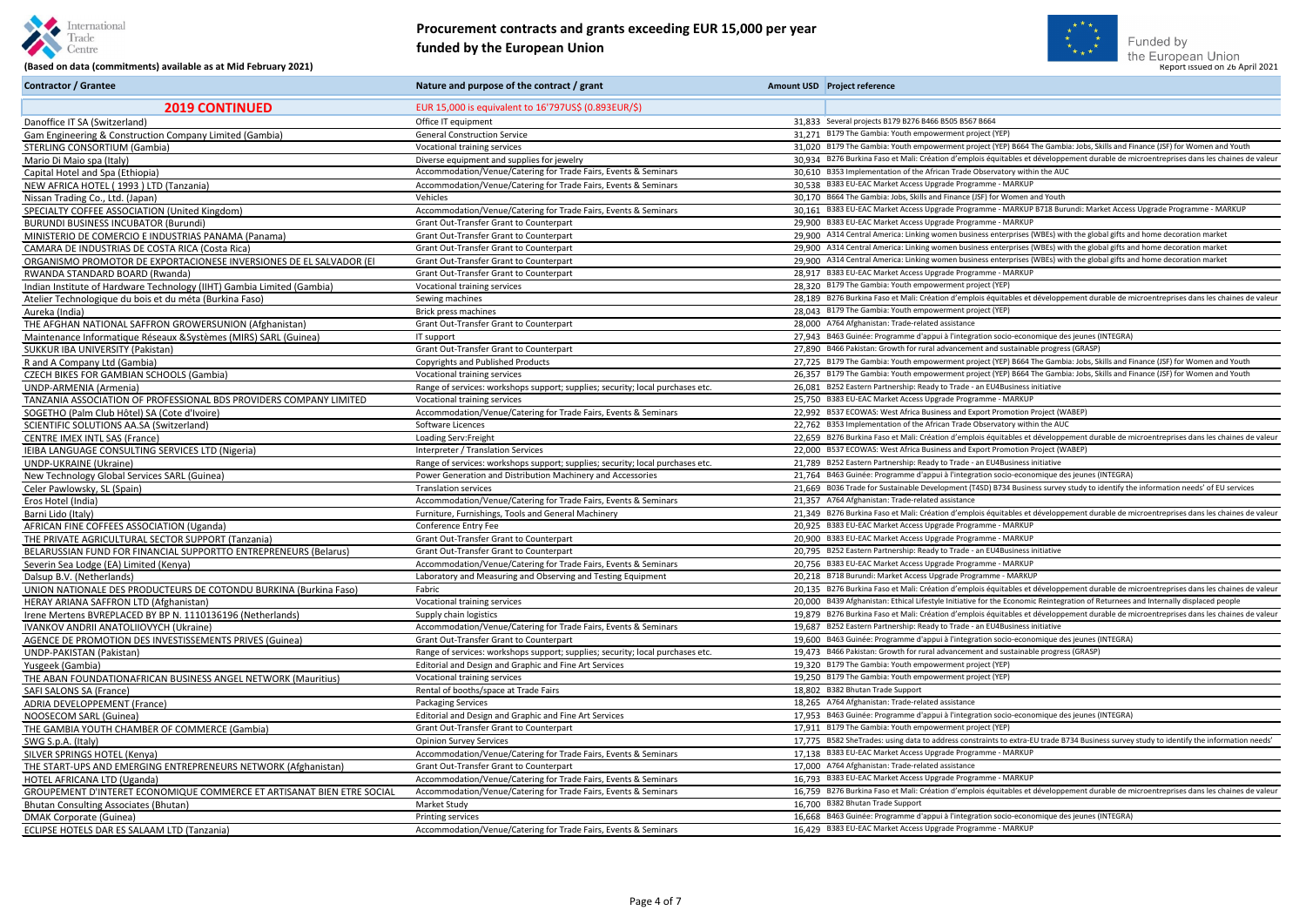



## **Procurement contracts and grants exceeding EUR 15,000 per year funded by the European Union**

| <b>Contractor / Grantee</b>                                            | Nature and purpose of the contract / grant                                     | Amount USD Project reference                                                                                                             |
|------------------------------------------------------------------------|--------------------------------------------------------------------------------|------------------------------------------------------------------------------------------------------------------------------------------|
| <b>2019 CONTINUED</b>                                                  | EUR 15,000 is equivalent to 16'797US\$ (0.893EUR/\$)                           |                                                                                                                                          |
| Danoffice IT SA (Switzerland)                                          | Office IT equipment                                                            | 31,833 Several projects B179 B276 B466 B505 B567 B664                                                                                    |
| Gam Engineering & Construction Company Limited (Gambia)                | <b>General Construction Service</b>                                            | 31,271 B179 The Gambia: Youth empowerment project (YEP)                                                                                  |
| STERLING CONSORTIUM (Gambia)                                           | Vocational training services                                                   | 31,020 B179 The Gambia: Youth empowerment project (YEP) B664 The Gambia: Jobs, Skills and Finance (JSF) for Women and Youth              |
| Mario Di Maio spa (Italy)                                              | Diverse equipment and supplies for jewelry                                     | 30,934 B276 Burkina Faso et Mali: Création d'emplois équitables et développement durable de microentreprises dans les chaines de valeur  |
| Capital Hotel and Spa (Ethiopia)                                       | Accommodation/Venue/Catering for Trade Fairs, Events & Seminars                | 30,610 B353 Implementation of the African Trade Observatory within the AUC                                                               |
| NEW AFRICA HOTEL (1993) LTD (Tanzania)                                 | Accommodation/Venue/Catering for Trade Fairs, Events & Seminars                | 30,538 B383 EU-EAC Market Access Upgrade Programme - MARKUP                                                                              |
| Nissan Trading Co., Ltd. (Japan)                                       | Vehicles                                                                       | 30,170 B664 The Gambia: Jobs, Skills and Finance (JSF) for Women and Youth                                                               |
| SPECIALTY COFFEE ASSOCIATION (United Kingdom)                          | Accommodation/Venue/Catering for Trade Fairs, Events & Seminars                | 30,161 B383 EU-EAC Market Access Upgrade Programme - MARKUP B718 Burundi: Market Access Upgrade Programme - MARKUP                       |
| <b>BURUNDI BUSINESS INCUBATOR (Burundi)</b>                            | Grant Out-Transfer Grant to Counterpart                                        | 29,900 B383 EU-EAC Market Access Upgrade Programme - MARKUP                                                                              |
| MINISTERIO DE COMERCIO E INDUSTRIAS PANAMA (Panama)                    | Grant Out-Transfer Grant to Counterpart                                        | 29,900 A314 Central America: Linking women business enterprises (WBEs) with the global gifts and home decoration market                  |
| CAMARA DE INDUSTRIAS DE COSTA RICA (Costa Rica)                        | Grant Out-Transfer Grant to Counterpart                                        | 29,900 A314 Central America: Linking women business enterprises (WBEs) with the global gifts and home decoration market                  |
| ORGANISMO PROMOTOR DE EXPORTACIONESE INVERSIONES DE EL SALVADOR (EI    | Grant Out-Transfer Grant to Counterpart                                        | 29,900 A314 Central America: Linking women business enterprises (WBEs) with the global gifts and home decoration market                  |
| RWANDA STANDARD BOARD (Rwanda)                                         | Grant Out-Transfer Grant to Counterpart                                        | 28,917 B383 EU-EAC Market Access Upgrade Programme - MARKUP                                                                              |
| Indian Institute of Hardware Technology (IIHT) Gambia Limited (Gambia) | Vocational training services                                                   | 28,320 B179 The Gambia: Youth empowerment project (YEP)                                                                                  |
| Atelier Technologique du bois et du méta (Burkina Faso)                | Sewing machines                                                                | 28,189 B276 Burkina Faso et Mali: Création d'emplois équitables et développement durable de microentreprises dans les chaines de valeur  |
| Aureka (India)                                                         | Brick press machines                                                           | 28,043 B179 The Gambia: Youth empowerment project (YEP)                                                                                  |
| THE AFGHAN NATIONAL SAFFRON GROWERSUNION (Afghanistan)                 | <b>Grant Out-Transfer Grant to Counterpart</b>                                 | 28.000 A764 Afghanistan: Trade-related assistance                                                                                        |
| Maintenance Informatique Réseaux & Systèmes (MIRS) SARL (Guinea)       | IT support                                                                     | 27,943 B463 Guinée: Programme d'appui à l'integration socio-economique des jeunes (INTEGRA)                                              |
| SUKKUR IBA UNIVERSITY (Pakistan)                                       | Grant Out-Transfer Grant to Counterpart                                        | 27,890 B466 Pakistan: Growth for rural advancement and sustainable progress (GRASP)                                                      |
| R and A Company Ltd (Gambia)                                           | <b>Copyrights and Published Products</b>                                       | 27,725 B179 The Gambia: Youth empowerment project (YEP) B664 The Gambia: Jobs, Skills and Finance (JSF) for Women and Youth              |
| <b>CZECH BIKES FOR GAMBIAN SCHOOLS (Gambia)</b>                        | Vocational training services                                                   | 26,357 B179 The Gambia: Youth empowerment project (YEP) B664 The Gambia: Jobs, Skills and Finance (JSF) for Women and Youth              |
| UNDP-ARMENIA (Armenia)                                                 | Range of services: workshops support; supplies; security; local purchases etc. | 26,081 B252 Eastern Partnership: Ready to Trade - an EU4Business initiative                                                              |
| TANZANIA ASSOCIATION OF PROFESSIONAL BDS PROVIDERS COMPANY LIMITED     | Vocational training services                                                   | 25,750 B383 EU-EAC Market Access Upgrade Programme - MARKUP                                                                              |
| SOGETHO (Palm Club Hôtel) SA (Cote d'Ivoire)                           | Accommodation/Venue/Catering for Trade Fairs, Events & Seminars                | 22,992 B537 ECOWAS: West Africa Business and Export Promotion Project (WABEP)                                                            |
| SCIENTIFIC SOLUTIONS AA.SA (Switzerland)                               | Software Licences                                                              | 22.762 B353 Implementation of the African Trade Observatory within the AUC                                                               |
| <b>CENTRE IMEX INTL SAS (France)</b>                                   | Loading Serv: Freight                                                          | 22,659 B276 Burkina Faso et Mali: Création d'emplois équitables et développement durable de microentreprises dans les chaines de valeur  |
| IEIBA LANGUAGE CONSULTING SERVICES LTD (Nigeria)                       | Interpreter / Translation Services                                             | 22.000 B537 ECOWAS: West Africa Business and Export Promotion Project (WABEP)                                                            |
| <b>UNDP-UKRAINE (Ukraine)</b>                                          | Range of services: workshops support; supplies; security; local purchases etc. | 21.789 B252 Eastern Partnership: Ready to Trade - an EU4Business initiative                                                              |
| New Technology Global Services SARL (Guinea)                           | Power Generation and Distribution Machinery and Accessories                    | 21,764 B463 Guinée: Programme d'appui à l'integration socio-economique des jeunes (INTEGRA)                                              |
| Celer Pawlowsky, SL (Spain)                                            | <b>Translation services</b>                                                    | 21,669 B036 Trade for Sustainable Development (T4SD) B734 Business survey study to identify the information needs' of EU services        |
| Eros Hotel (India)                                                     | Accommodation/Venue/Catering for Trade Fairs, Events & Seminars                | 21,357 A764 Afghanistan: Trade-related assistance                                                                                        |
| Barni Lido (Italy)                                                     | Furniture, Furnishings, Tools and General Machinery                            | 21.349 B276 Burkina Faso et Mali: Création d'emplois équitables et développement durable de microentreprises dans les chaines de valeur  |
| AFRICAN FINE COFFEES ASSOCIATION (Uganda)                              | Conference Entry Fee                                                           | 20,925 B383 EU-EAC Market Access Upgrade Programme - MARKUP                                                                              |
| THE PRIVATE AGRICULTURAL SECTOR SUPPORT (Tanzania)                     | <b>Grant Out-Transfer Grant to Counterpart</b>                                 | 20,900 B383 EU-EAC Market Access Upgrade Programme - MARKUP                                                                              |
| BELARUSSIAN FUND FOR FINANCIAL SUPPORTTO ENTREPRENEURS (Belarus)       | Grant Out-Transfer Grant to Counterpart                                        | 20.795 B252 Eastern Partnership: Ready to Trade - an EU4Business initiative                                                              |
| Severin Sea Lodge (EA) Limited (Kenya)                                 | Accommodation/Venue/Catering for Trade Fairs, Events & Seminars                | 20,756 B383 EU-EAC Market Access Upgrade Programme - MARKUP                                                                              |
| Dalsup B.V. (Netherlands)                                              | Laboratory and Measuring and Observing and Testing Equipment                   | 20,218 B718 Burundi: Market Access Upgrade Programme - MARKUP                                                                            |
| UNION NATIONALE DES PRODUCTEURS DE COTONDU BURKINA (Burkina Faso)      | Fabric                                                                         | 20,135 B276 Burkina Faso et Mali: Création d'emplois équitables et développement durable de microentreprises dans les chaines de valeur  |
| HERAY ARIANA SAFFRON LTD (Afghanistan)                                 | Vocational training services                                                   | 20,000 B439 Afghanistan: Ethical Lifestyle Initiative for the Economic Reintegration of Returnees and Internally displaced people        |
| Irene Mertens BVREPLACED BY BP N. 1110136196 (Netherlands)             | Supply chain logistics                                                         | 19,879 B276 Burkina Faso et Mali: Création d'emplois équitables et développement durable de microentreprises dans les chaines de valeur  |
| IVANKOV ANDRII ANATOLIIOVYCH (Ukraine)                                 | Accommodation/Venue/Catering for Trade Fairs, Events & Seminars                | 19.687 B252 Eastern Partnership: Ready to Trade - an EU4Business initiative                                                              |
| AGENCE DE PROMOTION DES INVESTISSEMENTS PRIVES (Guinea)                | Grant Out-Transfer Grant to Counterpart                                        | 19,600 B463 Guinée: Programme d'appui à l'integration socio-economique des jeunes (INTEGRA)                                              |
| UNDP-PAKISTAN (Pakistan)                                               | Range of services: workshops support; supplies; security; local purchases etc. | 19.473 B466 Pakistan: Growth for rural advancement and sustainable progress (GRASP)                                                      |
| Yusgeek (Gambia)                                                       | Editorial and Design and Graphic and Fine Art Services                         | 19,320 B179 The Gambia: Youth empowerment project (YEP)                                                                                  |
| THE ABAN FOUNDATIONAFRICAN BUSINESS ANGEL NETWORK (Mauritius)          | Vocational training services                                                   | 19.250 B179 The Gambia: Youth empowerment project (YEP)                                                                                  |
| SAFI SALONS SA (France)                                                | Rental of booths/space at Trade Fairs                                          | 18,802 B382 Bhutan Trade Support                                                                                                         |
| <b>ADRIA DEVELOPPEMENT (France)</b>                                    | <b>Packaging Services</b>                                                      | 18,265 A764 Afghanistan: Trade-related assistance                                                                                        |
| NOOSECOM SARL (Guinea)                                                 | Editorial and Design and Graphic and Fine Art Services                         | 17,953 B463 Guinée: Programme d'appui à l'integration socio-economique des jeunes (INTEGRA)                                              |
| THE GAMBIA YOUTH CHAMBER OF COMMERCE (Gambia)                          | Grant Out-Transfer Grant to Counterpart                                        | 17,911 B179 The Gambia: Youth empowerment project (YEP)                                                                                  |
| SWG S.p.A. (Italy)                                                     | <b>Opinion Survey Services</b>                                                 | 17,775 B582 SheTrades: using data to address constraints to extra-EU trade B734 Business survey study to identify the information needs' |
| SILVER SPRINGS HOTEL (Kenya)                                           | Accommodation/Venue/Catering for Trade Fairs, Events & Seminars                | 17,138 B383 EU-EAC Market Access Upgrade Programme - MARKUP                                                                              |
| THE START-UPS AND EMERGING ENTREPRENEURS NETWORK (Afghanistan)         | Grant Out-Transfer Grant to Counterpart                                        | 17,000 A764 Afghanistan: Trade-related assistance                                                                                        |
| HOTEL AFRICANA LTD (Uganda)                                            | Accommodation/Venue/Catering for Trade Fairs, Events & Seminars                | 16,793 B383 EU-EAC Market Access Upgrade Programme - MARKUP                                                                              |
| GROUPEMENT D'INTERET ECONOMIQUE COMMERCE ET ARTISANAT BIEN ETRE SOCIAL | Accommodation/Venue/Catering for Trade Fairs, Events & Seminars                | 16.759 B276 Burkina Faso et Mali: Création d'emplois équitables et développement durable de microentreprises dans les chaines de valeu   |
| Bhutan Consulting Associates (Bhutan)                                  | Market Study                                                                   | 16,700 B382 Bhutan Trade Support                                                                                                         |
| DMAK Corporate (Guinea)                                                | <b>Printing services</b>                                                       | 16.668 B463 Guinée: Programme d'appui à l'integration socio-economique des jeunes (INTEGRA)                                              |
| ECLIPSE HOTELS DAR ES SALAAM LTD (Tanzania)                            | Accommodation/Venue/Catering for Trade Fairs, Events & Seminars                | 16,429 B383 EU-EAC Market Access Upgrade Programme - MARKUP                                                                              |
|                                                                        |                                                                                |                                                                                                                                          |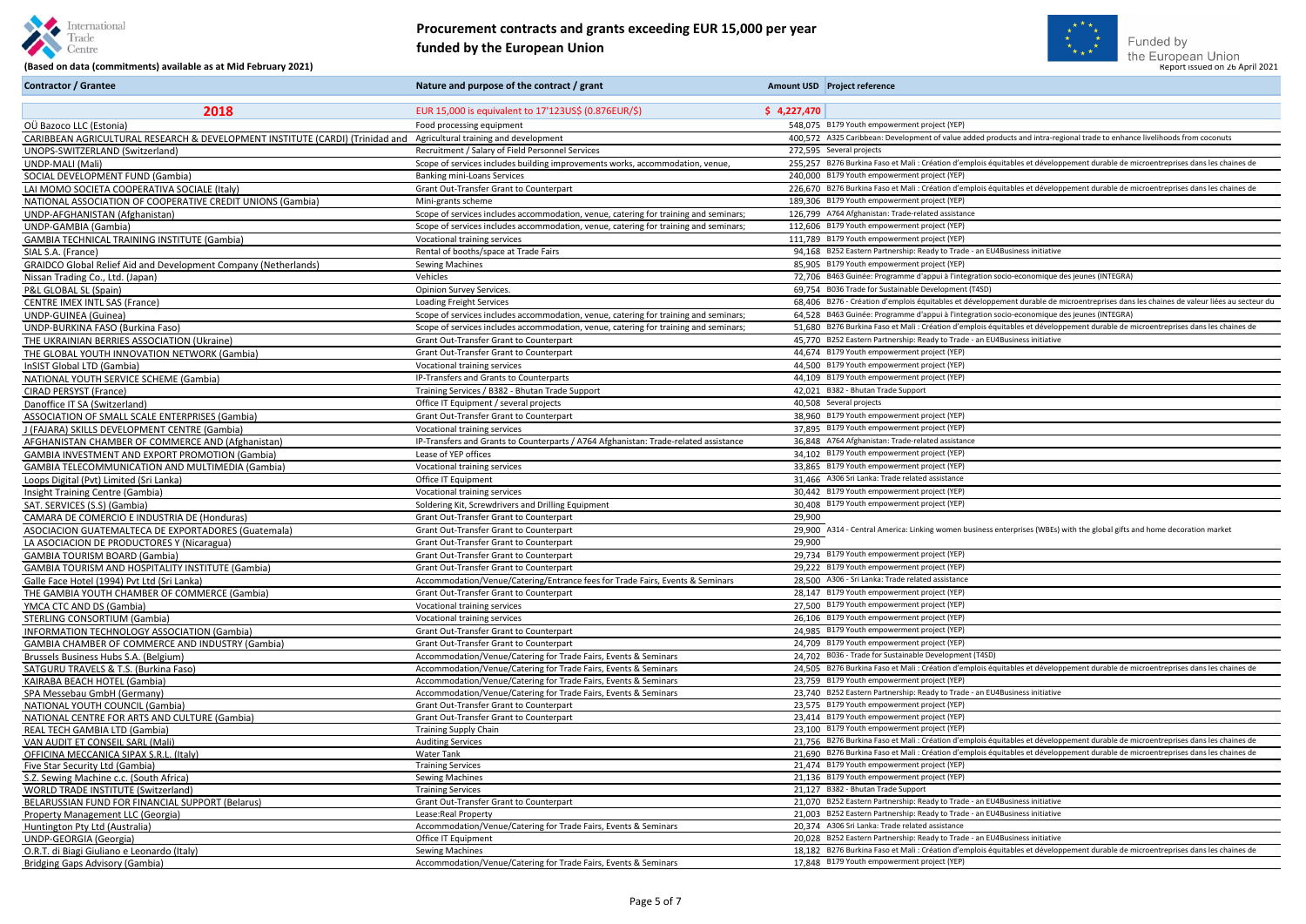



#### Gentre Centre **(Based on data (commitments) available as at Mid February 2021) Report 1998 Constant Commitments** available as at Mid February 2021) **Report issued on 2021** (Based on data (commitments) available as at Mid **Procurement contracts and grants exceeding EUR 15,000 per year funded by the European Union**

**Contractor / Grantee Nature and purpose of the contract / grant** Amount USD Project reference

| 2018                                                                                                                | EUR 15,000 is equivalent to 17'123US\$ (0.876EUR/\$)                                      | \$4,227,470                                                                                                                             |
|---------------------------------------------------------------------------------------------------------------------|-------------------------------------------------------------------------------------------|-----------------------------------------------------------------------------------------------------------------------------------------|
| OÜ Bazoco LLC (Estonia)                                                                                             | Food processing equipment                                                                 | 548,075 B179 Youth empowerment project (YEP)                                                                                            |
| CARIBBEAN AGRICULTURAL RESEARCH & DEVELOPMENT INSTITUTE (CARDI) (Trinidad and Agricultural training and development |                                                                                           | 400,572 A325 Caribbean: Development of value added products and intra-regional trade to enhance livelihoods from coconuts               |
| UNOPS-SWITZERLAND (Switzerland)                                                                                     | Recruitment / Salary of Field Personnel Services                                          | 272,595 Several projects                                                                                                                |
| UNDP-MALI (Mali)                                                                                                    | Scope of services includes building improvements works, accommodation, venue,             | 255,257 B276 Burkina Faso et Mali : Création d'emplois équitables et développement durable de microentreprises dans les chaines de      |
| SOCIAL DEVELOPMENT FUND (Gambia)                                                                                    | Banking mini-Loans Services                                                               | 240,000 B179 Youth empowerment project (YEP)                                                                                            |
| LAI MOMO SOCIETA COOPERATIVA SOCIALE (Italy)                                                                        | Grant Out-Transfer Grant to Counterpart                                                   | 226,670 B276 Burkina Faso et Mali : Création d'emplois équitables et développement durable de microentreprises dans les chaines de      |
| NATIONAL ASSOCIATION OF COOPERATIVE CREDIT UNIONS (Gambia)                                                          | Mini-grants scheme                                                                        | 189,306 B179 Youth empowerment project (YEP)                                                                                            |
| UNDP-AFGHANISTAN (Afghanistan)                                                                                      | Scope of services includes accommodation, venue, catering for training and seminars;      | 126,799 A764 Afghanistan: Trade-related assistance                                                                                      |
| UNDP-GAMBIA (Gambia)                                                                                                | Scope of services includes accommodation, venue, catering for training and seminars;      | 112,606 B179 Youth empowerment project (YEP)                                                                                            |
| <b>GAMBIA TECHNICAL TRAINING INSTITUTE (Gambia)</b>                                                                 | Vocational training services                                                              | 111,789 B179 Youth empowerment project (YEP)                                                                                            |
| SIAL S.A. (France)                                                                                                  | Rental of booths/space at Trade Fairs                                                     | 94,168 B252 Eastern Partnership: Ready to Trade - an EU4Business initiative                                                             |
| <b>GRAIDCO Global Relief Aid and Development Company (Netherlands)</b>                                              | <b>Sewing Machines</b>                                                                    | 85,905 B179 Youth empowerment project (YEP)                                                                                             |
| Nissan Trading Co., Ltd. (Japan)                                                                                    | Vehicles                                                                                  | 72,706 B463 Guinée: Programme d'appui à l'integration socio-economique des jeunes (INTEGRA)                                             |
| P&L GLOBAL SL (Spain)                                                                                               | Opinion Survey Services.                                                                  | 69,754 B036 Trade for Sustainable Development (T4SD)                                                                                    |
| <b>CENTRE IMEX INTL SAS (France)</b>                                                                                | <b>Loading Freight Services</b>                                                           | 68,406 B276 - Création d'emplois équitables et développement durable de microentreprises dans les chaines de valeur liées au secteur du |
| UNDP-GUINEA (Guinea)                                                                                                | Scope of services includes accommodation, venue, catering for training and seminars;      | 64,528 B463 Guinée: Programme d'appui à l'integration socio-economique des jeunes (INTEGRA)                                             |
| UNDP-BURKINA FASO (Burkina Faso)                                                                                    | Scope of services includes accommodation, venue, catering for training and seminars;      | 51,680 B276 Burkina Faso et Mali : Création d'emplois équitables et développement durable de microentreprises dans les chaines de       |
| THE UKRAINIAN BERRIES ASSOCIATION (Ukraine)                                                                         | Grant Out-Transfer Grant to Counterpart                                                   | 45,770 B252 Eastern Partnership: Ready to Trade - an EU4Business initiative                                                             |
| THE GLOBAL YOUTH INNOVATION NETWORK (Gambia)                                                                        | Grant Out-Transfer Grant to Counterpart                                                   | 44,674 B179 Youth empowerment project (YEP)                                                                                             |
| InSIST Global LTD (Gambia)                                                                                          | Vocational training services                                                              | 44,500 B179 Youth empowerment project (YEP)                                                                                             |
| NATIONAL YOUTH SERVICE SCHEME (Gambia)                                                                              | IP-Transfers and Grants to Counterparts                                                   | 44,109 B179 Youth empowerment project (YEP)                                                                                             |
| CIRAD PERSYST (France)                                                                                              | Training Services / B382 - Bhutan Trade Support                                           | 42,021 B382 - Bhutan Trade Support                                                                                                      |
| Danoffice IT SA (Switzerland)                                                                                       | Office IT Equipment / several projects                                                    | 40,508 Several projects                                                                                                                 |
| ASSOCIATION OF SMALL SCALE ENTERPRISES (Gambia)                                                                     | Grant Out-Transfer Grant to Counterpart                                                   | 38,960 B179 Youth empowerment project (YEP)                                                                                             |
| J (FAJARA) SKILLS DEVELOPMENT CENTRE (Gambia)                                                                       | Vocational training services                                                              | 37,895 B179 Youth empowerment project (YEP)                                                                                             |
| AFGHANISTAN CHAMBER OF COMMERCE AND (Afghanistan)                                                                   | IP-Transfers and Grants to Counterparts / A764 Afghanistan: Trade-related assistance      | 36,848 A764 Afghanistan: Trade-related assistance                                                                                       |
| <b>GAMBIA INVESTMENT AND EXPORT PROMOTION (Gambia)</b>                                                              | Lease of YEP offices                                                                      | 34,102 B179 Youth empowerment project (YEP)                                                                                             |
| <b>GAMBIA TELECOMMUNICATION AND MULTIMEDIA (Gambia)</b>                                                             | Vocational training services                                                              | 33,865 B179 Youth empowerment project (YEP)                                                                                             |
| Loops Digital (Pvt) Limited (Sri Lanka)                                                                             | Office IT Equipment                                                                       | 31,466 A306 Sri Lanka: Trade related assistance                                                                                         |
| Insight Training Centre (Gambia)                                                                                    | Vocational training services                                                              | 30,442 B179 Youth empowerment project (YEP)                                                                                             |
| SAT. SERVICES (S.S) (Gambia)                                                                                        | Soldering Kit, Screwdrivers and Drilling Equipment                                        | 30,408 B179 Youth empowerment project (YEP)                                                                                             |
| CAMARA DE COMERCIO E INDUSTRIA DE (Honduras)                                                                        | Grant Out-Transfer Grant to Counterpart                                                   | 29,900<br>29,900 A314 - Central America: Linking women business enterprises (WBEs) with the global gifts and home decoration market     |
| ASOCIACION GUATEMALTECA DE EXPORTADORES (Guatemala)                                                                 | Grant Out-Transfer Grant to Counterpart                                                   |                                                                                                                                         |
| LA ASOCIACION DE PRODUCTORES Y (Nicaragua)                                                                          | Grant Out-Transfer Grant to Counterpart<br><b>Grant Out-Transfer Grant to Counterpart</b> | 29,900<br>29,734 B179 Youth empowerment project (YEP)                                                                                   |
| <b>GAMBIA TOURISM BOARD (Gambia)</b><br><b>GAMBIA TOURISM AND HOSPITALITY INSTITUTE (Gambia)</b>                    | Grant Out-Transfer Grant to Counterpart                                                   | 29,222 B179 Youth empowerment project (YEP)                                                                                             |
| Galle Face Hotel (1994) Pvt Ltd (Sri Lanka)                                                                         | Accommodation/Venue/Catering/Entrance fees for Trade Fairs, Events & Seminars             | 28.500 A306 - Sri Lanka: Trade related assistance                                                                                       |
| THE GAMBIA YOUTH CHAMBER OF COMMERCE (Gambia)                                                                       | Grant Out-Transfer Grant to Counterpart                                                   | 28,147 B179 Youth empowerment project (YEP)                                                                                             |
| YMCA CTC AND DS (Gambia)                                                                                            | Vocational training services                                                              | 27,500 B179 Youth empowerment project (YEP)                                                                                             |
| <b>STERLING CONSORTIUM (Gambia)</b>                                                                                 | Vocational training services                                                              | 26.106 B179 Youth empowerment project (YEP)                                                                                             |
| <b>INFORMATION TECHNOLOGY ASSOCIATION (Gambia)</b>                                                                  | Grant Out-Transfer Grant to Counterpart                                                   | 24,985 B179 Youth empowerment project (YEP)                                                                                             |
| GAMBIA CHAMBER OF COMMERCE AND INDUSTRY (Gambia)                                                                    | <b>Grant Out-Transfer Grant to Counterpart</b>                                            | 24,709 B179 Youth empowerment project (YEP)                                                                                             |
| Brussels Business Hubs S.A. (Belgium)                                                                               | Accommodation/Venue/Catering for Trade Fairs, Events & Seminars                           | 24.702 B036 - Trade for Sustainable Development (T4SD)                                                                                  |
| SATGURU TRAVELS & T.S. (Burkina Faso)                                                                               | Accommodation/Venue/Catering for Trade Fairs, Events & Seminars                           | 24.505 B276 Burkina Faso et Mali : Création d'emplois équitables et développement durable de microentreprises dans les chaines de       |
| KAIRABA BEACH HOTEL (Gambia)                                                                                        | Accommodation/Venue/Catering for Trade Fairs, Events & Seminars                           | 23,759 B179 Youth empowerment project (YEP)                                                                                             |
| SPA Messebau GmbH (Germany)                                                                                         | Accommodation/Venue/Catering for Trade Fairs, Events & Seminars                           | 23,740 B252 Eastern Partnership: Ready to Trade - an EU4Business initiative                                                             |
| <b>NATIONAL YOUTH COUNCIL (Gambia)</b>                                                                              | Grant Out-Transfer Grant to Counterpart                                                   | 23.575 B179 Youth empowerment project (YEP)                                                                                             |
| NATIONAL CENTRE FOR ARTS AND CULTURE (Gambia)                                                                       | Grant Out-Transfer Grant to Counterpart                                                   | 23,414 B179 Youth empowerment project (YEP)                                                                                             |
| REAL TECH GAMBIA LTD (Gambia)                                                                                       | <b>Training Supply Chain</b>                                                              | 23,100 B179 Youth empowerment project (YEP)                                                                                             |
| VAN AUDIT ET CONSEIL SARL (Mali)                                                                                    | <b>Auditing Services</b>                                                                  | 21.756 B276 Burkina Faso et Mali : Création d'emplois équitables et développement durable de microentreprises dans les chaines de       |
| OFFICINA MECCANICA SIPAX S.R.L. (Italy)                                                                             | Water Tank                                                                                | 21,690 B276 Burkina Faso et Mali : Création d'emplois équitables et développement durable de microentreprises dans les chaines de       |
| Five Star Security Ltd (Gambia)                                                                                     | <b>Training Services</b>                                                                  | 21,474 B179 Youth empowerment project (YEP)                                                                                             |
| S.Z. Sewing Machine c.c. (South Africa)                                                                             | <b>Sewing Machines</b>                                                                    | 21,136 B179 Youth empowerment project (YEP)                                                                                             |
| <b>WORLD TRADE INSTITUTE (Switzerland)</b>                                                                          | <b>Training Services</b>                                                                  | 21,127 B382 - Bhutan Trade Support                                                                                                      |
| BELARUSSIAN FUND FOR FINANCIAL SUPPORT (Belarus)                                                                    | Grant Out-Transfer Grant to Counterpart                                                   | 21.070 B252 Eastern Partnership: Ready to Trade - an EU4Business initiative                                                             |
| Property Management LLC (Georgia)                                                                                   | Lease: Real Property                                                                      | 21.003 B252 Eastern Partnership: Ready to Trade - an EU4Business initiative                                                             |
| Huntington Pty Ltd (Australia)                                                                                      | Accommodation/Venue/Catering for Trade Fairs, Events & Seminars                           | 20.374 A306 Sri Lanka: Trade related assistance<br>20.028 B252 Eastern Partnership: Ready to Trade - an EU4Business initiative          |
| UNDP-GEORGIA (Georgia)                                                                                              | Office IT Equipment                                                                       | 18.182 B276 Burkina Faso et Mali : Création d'emplois équitables et développement durable de microentreprises dans les chaines de       |
| O.R.T. di Biagi Giuliano e Leonardo (Italy)                                                                         | <b>Sewing Machines</b><br>Accommodation/Venue/Catering for Trade Fairs, Events & Seminars | 17,848 B179 Youth empowerment project (YEP)                                                                                             |
| <b>Bridging Gaps Advisory (Gambia)</b>                                                                              |                                                                                           |                                                                                                                                         |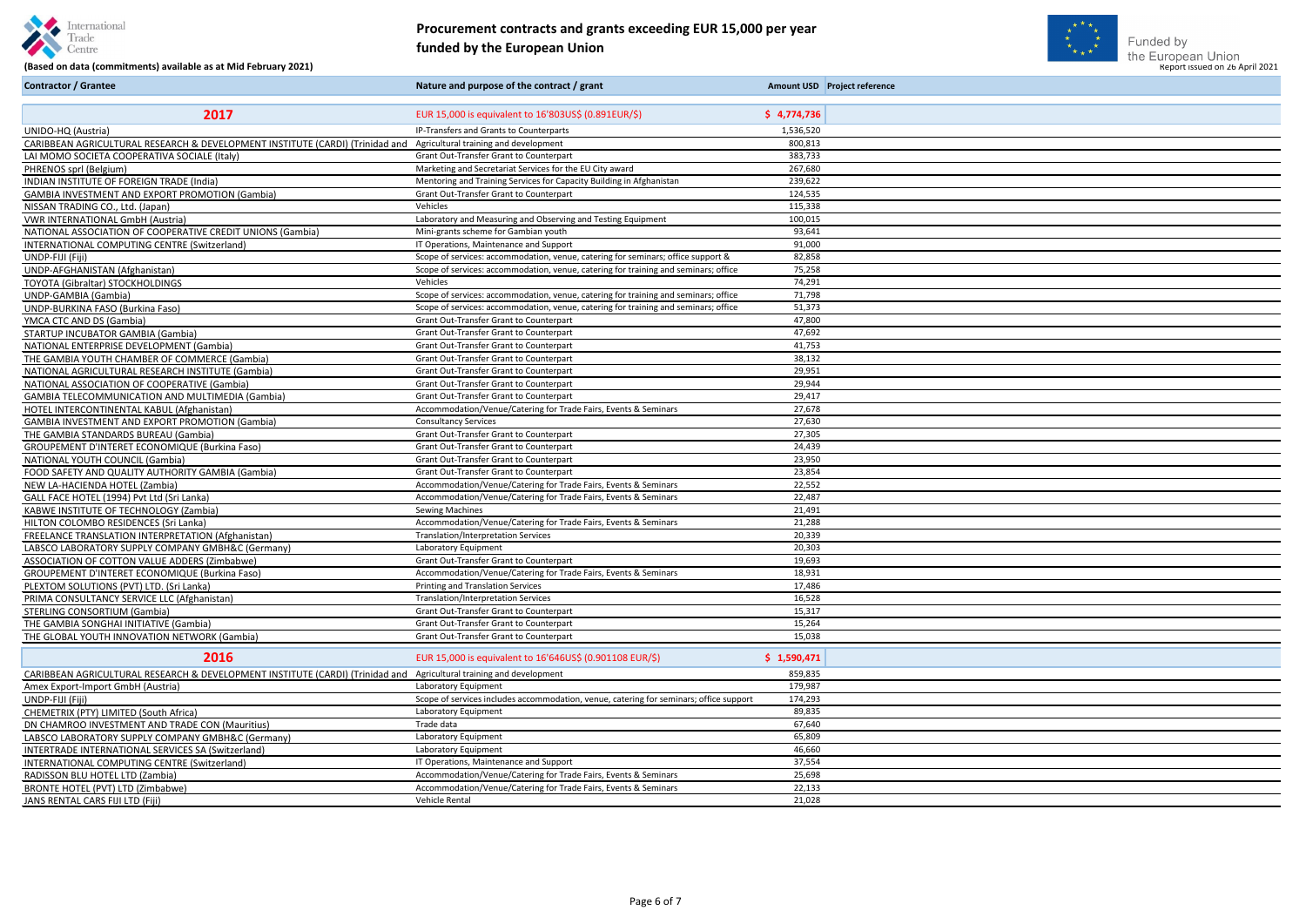





## Gentre Commitments) available as at Mid February 2021) **Finded by the European Union**<br>(Based on data (commitments) available as at Mid February 2021) **Report issued on 26 April 2021 Procurement contracts and grants exceeding EUR 15,000 per year funded by the European Union**

| <b>Contractor / Grantee</b>                                                   | Nature and purpose of the contract / grant                                             |             | Amount USD Project reference |
|-------------------------------------------------------------------------------|----------------------------------------------------------------------------------------|-------------|------------------------------|
| 2017                                                                          | EUR 15,000 is equivalent to 16'803US\$ (0.891EUR/\$)                                   | \$4,774,736 |                              |
| UNIDO-HQ (Austria)                                                            | IP-Transfers and Grants to Counterparts                                                | 1,536,520   |                              |
| CARIBBEAN AGRICULTURAL RESEARCH & DEVELOPMENT INSTITUTE (CARDI) (Trinidad and | Agricultural training and development                                                  | 800,813     |                              |
| LAI MOMO SOCIETA COOPERATIVA SOCIALE (Italy)                                  | Grant Out-Transfer Grant to Counterpart                                                | 383,733     |                              |
| PHRENOS sprl (Belgium)                                                        | Marketing and Secretariat Services for the EU City award                               | 267,680     |                              |
| INDIAN INSTITUTE OF FOREIGN TRADE (India)                                     | Mentoring and Training Services for Capacity Building in Afghanistan                   | 239,622     |                              |
| <b>GAMBIA INVESTMENT AND EXPORT PROMOTION (Gambia)</b>                        | Grant Out-Transfer Grant to Counterpart                                                | 124,535     |                              |
| NISSAN TRADING CO., Ltd. (Japan)                                              | Vehicles                                                                               | 115,338     |                              |
| <b>VWR INTERNATIONAL GmbH (Austria)</b>                                       | Laboratory and Measuring and Observing and Testing Equipment                           | 100,015     |                              |
| NATIONAL ASSOCIATION OF COOPERATIVE CREDIT UNIONS (Gambia)                    | Mini-grants scheme for Gambian youth                                                   | 93,641      |                              |
| INTERNATIONAL COMPUTING CENTRE (Switzerland)                                  | IT Operations, Maintenance and Support                                                 | 91,000      |                              |
| UNDP-FIJI (Fiji)                                                              | Scope of services: accommodation, venue, catering for seminars; office support &       | 82,858      |                              |
| UNDP-AFGHANISTAN (Afghanistan)                                                | Scope of services: accommodation, venue, catering for training and seminars; office    | 75,258      |                              |
| TOYOTA (Gibraltar) STOCKHOLDINGS                                              | Vehicles                                                                               | 74,291      |                              |
| UNDP-GAMBIA (Gambia)                                                          | Scope of services: accommodation, venue, catering for training and seminars; office    | 71,798      |                              |
| UNDP-BURKINA FASO (Burkina Faso)                                              | Scope of services: accommodation, venue, catering for training and seminars; office    | 51,373      |                              |
| YMCA CTC AND DS (Gambia)                                                      | Grant Out-Transfer Grant to Counterpart                                                | 47,800      |                              |
| STARTUP INCUBATOR GAMBIA (Gambia)                                             | Grant Out-Transfer Grant to Counterpart                                                | 47,692      |                              |
| NATIONAL ENTERPRISE DEVELOPMENT (Gambia)                                      | Grant Out-Transfer Grant to Counterpart                                                | 41,753      |                              |
| THE GAMBIA YOUTH CHAMBER OF COMMERCE (Gambia)                                 | Grant Out-Transfer Grant to Counterpart                                                | 38,132      |                              |
| NATIONAL AGRICULTURAL RESEARCH INSTITUTE (Gambia)                             | Grant Out-Transfer Grant to Counterpart                                                | 29,951      |                              |
| NATIONAL ASSOCIATION OF COOPERATIVE (Gambia)                                  | Grant Out-Transfer Grant to Counterpart                                                | 29,944      |                              |
| <b>GAMBIA TELECOMMUNICATION AND MULTIMEDIA (Gambia)</b>                       | Grant Out-Transfer Grant to Counterpart                                                | 29,417      |                              |
| HOTEL INTERCONTINENTAL KABUL (Afghanistan)                                    | Accommodation/Venue/Catering for Trade Fairs, Events & Seminars                        | 27,678      |                              |
| GAMBIA INVESTMENT AND EXPORT PROMOTION (Gambia)                               | <b>Consultancy Services</b>                                                            | 27,630      |                              |
| THE GAMBIA STANDARDS BUREAU (Gambia)                                          | Grant Out-Transfer Grant to Counterpart                                                | 27,305      |                              |
| GROUPEMENT D'INTERET ECONOMIQUE (Burkina Faso)                                | Grant Out-Transfer Grant to Counterpart                                                | 24,439      |                              |
| NATIONAL YOUTH COUNCIL (Gambia)                                               | Grant Out-Transfer Grant to Counterpart                                                | 23,950      |                              |
| FOOD SAFETY AND QUALITY AUTHORITY GAMBIA (Gambia)                             | Grant Out-Transfer Grant to Counterpart                                                | 23,854      |                              |
| NEW LA-HACIENDA HOTEL (Zambia)                                                | Accommodation/Venue/Catering for Trade Fairs, Events & Seminars                        | 22,552      |                              |
| GALL FACE HOTEL (1994) Pvt Ltd (Sri Lanka)                                    | Accommodation/Venue/Catering for Trade Fairs, Events & Seminars                        | 22,487      |                              |
| KABWE INSTITUTE OF TECHNOLOGY (Zambia)                                        | <b>Sewing Machines</b>                                                                 | 21,491      |                              |
| HILTON COLOMBO RESIDENCES (Sri Lanka)                                         | Accommodation/Venue/Catering for Trade Fairs, Events & Seminars                        | 21,288      |                              |
| FREELANCE TRANSLATION INTERPRETATION (Afghanistan)                            | <b>Translation/Interpretation Services</b>                                             | 20,339      |                              |
| LABSCO LABORATORY SUPPLY COMPANY GMBH&C (Germany)                             | Laboratory Equipment                                                                   | 20,303      |                              |
| ASSOCIATION OF COTTON VALUE ADDERS (Zimbabwe)                                 | Grant Out-Transfer Grant to Counterpart                                                | 19,693      |                              |
| GROUPEMENT D'INTERET ECONOMIQUE (Burkina Faso)                                | Accommodation/Venue/Catering for Trade Fairs, Events & Seminars                        | 18,931      |                              |
| PLEXTOM SOLUTIONS (PVT) LTD. (Sri Lanka)                                      | Printing and Translation Services                                                      | 17,486      |                              |
| PRIMA CONSULTANCY SERVICE LLC (Afghanistan)                                   | Translation/Interpretation Services                                                    | 16,528      |                              |
| <b>STERLING CONSORTIUM (Gambia)</b>                                           | Grant Out-Transfer Grant to Counterpart                                                | 15,317      |                              |
| THE GAMBIA SONGHAI INITIATIVE (Gambia)                                        | Grant Out-Transfer Grant to Counterpart                                                | 15,264      |                              |
| THE GLOBAL YOUTH INNOVATION NETWORK (Gambia)                                  | Grant Out-Transfer Grant to Counterpart                                                | 15,038      |                              |
| 2016                                                                          | EUR 15,000 is equivalent to 16'646US\$ (0.901108 EUR/\$)                               | \$1,590,471 |                              |
| CARIBBEAN AGRICULTURAL RESEARCH & DEVELOPMENT INSTITUTE (CARDI) (Trinidad and | Agricultural training and development                                                  | 859,835     |                              |
| Amex Export-Import GmbH (Austria)                                             | Laboratory Equipment                                                                   | 179,987     |                              |
| UNDP-FIJI (Fiji)                                                              | Scope of services includes accommodation, venue, catering for seminars; office support | 174,293     |                              |
| CHEMETRIX (PTY) LIMITED (South Africa)                                        | Laboratory Equipment                                                                   | 89,835      |                              |
| DN CHAMROO INVESTMENT AND TRADE CON (Mauritius)                               | Trade data                                                                             | 67,640      |                              |
| LABSCO LABORATORY SUPPLY COMPANY GMBH&C (Germany)                             | Laboratory Equipment                                                                   | 65,809      |                              |
| INTERTRADE INTERNATIONAL SERVICES SA (Switzerland)                            | Laboratory Equipment                                                                   | 46,660      |                              |
| INTERNATIONAL COMPUTING CENTRE (Switzerland)                                  | IT Operations, Maintenance and Support                                                 | 37,554      |                              |
| RADISSON BLU HOTEL LTD (Zambia)                                               | Accommodation/Venue/Catering for Trade Fairs, Events & Seminars                        | 25,698      |                              |
| BRONTE HOTEL (PVT) LTD (Zimbabwe)                                             | Accommodation/Venue/Catering for Trade Fairs, Events & Seminars                        | 22,133      |                              |
| JANS RENTAL CARS FIJI LTD (Fiji)                                              | Vehicle Rental                                                                         | 21,028      |                              |
|                                                                               |                                                                                        |             |                              |